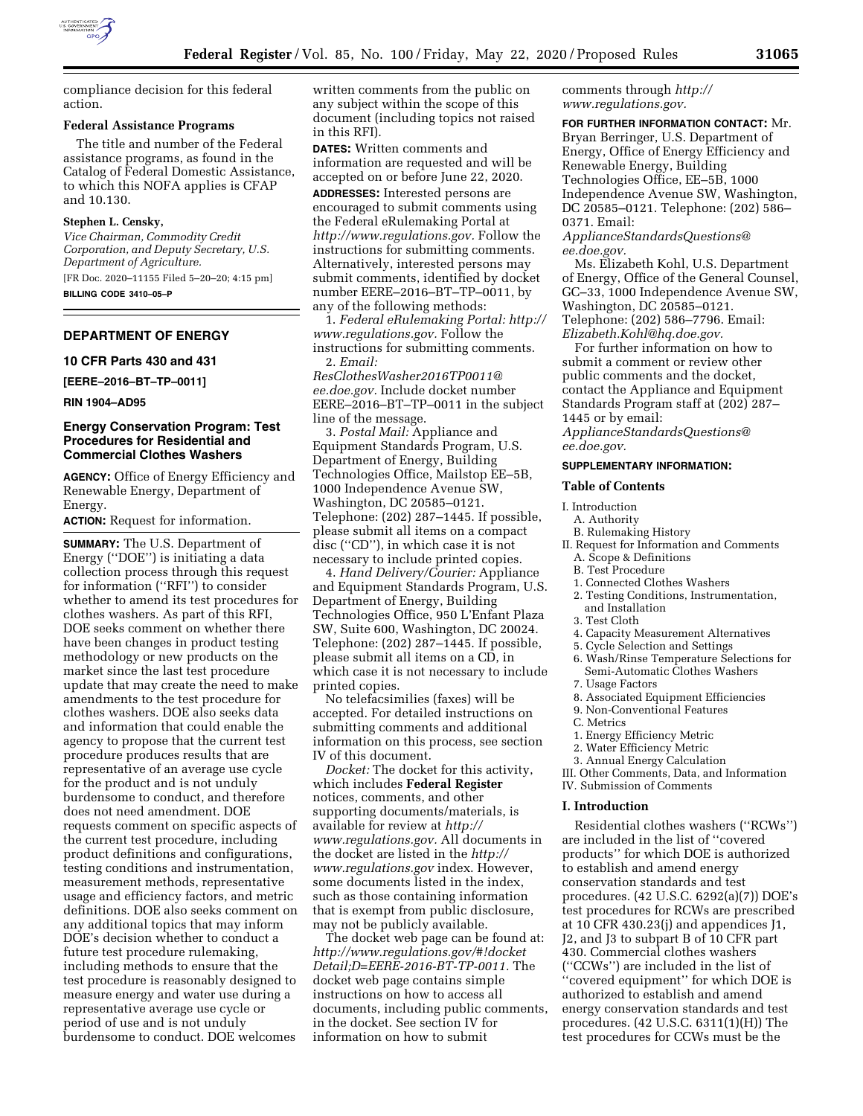

compliance decision for this federal action.

#### **Federal Assistance Programs**

The title and number of the Federal assistance programs, as found in the Catalog of Federal Domestic Assistance, to which this NOFA applies is CFAP and 10.130.

#### **Stephen L. Censky,**

*Vice Chairman, Commodity Credit Corporation, and Deputy Secretary, U.S. Department of Agriculture.*  [FR Doc. 2020–11155 Filed 5–20–20; 4:15 pm]

**BILLING CODE 3410–05–P** 

### **DEPARTMENT OF ENERGY**

#### **10 CFR Parts 430 and 431**

**[EERE–2016–BT–TP–0011]** 

**RIN 1904–AD95** 

### **Energy Conservation Program: Test Procedures for Residential and Commercial Clothes Washers**

**AGENCY:** Office of Energy Efficiency and Renewable Energy, Department of Energy.

**ACTION:** Request for information.

**SUMMARY:** The U.S. Department of Energy (''DOE'') is initiating a data collection process through this request for information (''RFI'') to consider whether to amend its test procedures for clothes washers. As part of this RFI, DOE seeks comment on whether there have been changes in product testing methodology or new products on the market since the last test procedure update that may create the need to make amendments to the test procedure for clothes washers. DOE also seeks data and information that could enable the agency to propose that the current test procedure produces results that are representative of an average use cycle for the product and is not unduly burdensome to conduct, and therefore does not need amendment. DOE requests comment on specific aspects of the current test procedure, including product definitions and configurations, testing conditions and instrumentation, measurement methods, representative usage and efficiency factors, and metric definitions. DOE also seeks comment on any additional topics that may inform DOE's decision whether to conduct a future test procedure rulemaking, including methods to ensure that the test procedure is reasonably designed to measure energy and water use during a representative average use cycle or period of use and is not unduly burdensome to conduct. DOE welcomes

written comments from the public on any subject within the scope of this document (including topics not raised in this RFI).

**DATES:** Written comments and information are requested and will be accepted on or before June 22, 2020.

**ADDRESSES:** Interested persons are encouraged to submit comments using the Federal eRulemaking Portal at *[http://www.regulations.gov.](http://www.regulations.gov)* Follow the instructions for submitting comments. Alternatively, interested persons may submit comments, identified by docket number EERE–2016–BT–TP–0011, by any of the following methods:

1. *Federal eRulemaking Portal: [http://](http://www.regulations.gov)  [www.regulations.gov.](http://www.regulations.gov)* Follow the instructions for submitting comments. 2. *Email:* 

*[ResClothesWasher2016TP0011@](mailto:ResClothesWasher2016TP0011@ee.doe.gov) [ee.doe.gov.](mailto:ResClothesWasher2016TP0011@ee.doe.gov)* Include docket number EERE–2016–BT–TP–0011 in the subject line of the message.

3. *Postal Mail:* Appliance and Equipment Standards Program, U.S. Department of Energy, Building Technologies Office, Mailstop EE–5B, 1000 Independence Avenue SW, Washington, DC 20585–0121. Telephone: (202) 287–1445. If possible, please submit all items on a compact disc (''CD''), in which case it is not necessary to include printed copies.

4. *Hand Delivery/Courier:* Appliance and Equipment Standards Program, U.S. Department of Energy, Building Technologies Office, 950 L'Enfant Plaza SW, Suite 600, Washington, DC 20024. Telephone: (202) 287–1445. If possible, please submit all items on a CD, in which case it is not necessary to include printed copies.

No telefacsimilies (faxes) will be accepted. For detailed instructions on submitting comments and additional information on this process, see section IV of this document.

*Docket:* The docket for this activity, which includes **Federal Register**  notices, comments, and other supporting documents/materials, is available for review at *[http://](http://www.regulations.gov) [www.regulations.gov.](http://www.regulations.gov)* All documents in the docket are listed in the *[http://](http://www.regulations.gov) [www.regulations.gov](http://www.regulations.gov)* index. However, some documents listed in the index, such as those containing information that is exempt from public disclosure, may not be publicly available.

The docket web page can be found at: *[http://www.regulations.gov/#!docket](http://www.regulations.gov/#!docketDetail;D=EERE-2016-BT-TP-0011) [Detail;D=EERE-2016-BT-TP-0011.](http://www.regulations.gov/#!docketDetail;D=EERE-2016-BT-TP-0011)* The docket web page contains simple instructions on how to access all documents, including public comments, in the docket. See section IV for information on how to submit

comments through *[http://](http://www.regulations.gov) [www.regulations.gov.](http://www.regulations.gov)* 

#### **FOR FURTHER INFORMATION CONTACT:** Mr.

Bryan Berringer, U.S. Department of Energy, Office of Energy Efficiency and Renewable Energy, Building Technologies Office, EE–5B, 1000 Independence Avenue SW, Washington, DC 20585–0121. Telephone: (202) 586– 0371. Email:

*[ApplianceStandardsQuestions@](mailto:ApplianceStandardsQuestions@ee.doe.gov) [ee.doe.gov.](mailto:ApplianceStandardsQuestions@ee.doe.gov)* 

Ms. Elizabeth Kohl, U.S. Department of Energy, Office of the General Counsel, GC–33, 1000 Independence Avenue SW, Washington, DC 20585–0121. Telephone: (202) 586–7796. Email: *[Elizabeth.Kohl@hq.doe.gov.](mailto:Elizabeth.Kohl@hq.doe.gov)* 

For further information on how to submit a comment or review other public comments and the docket, contact the Appliance and Equipment Standards Program staff at (202) 287– 1445 or by email:

*[ApplianceStandardsQuestions@](mailto:ApplianceStandardsQuestions@ee.doe.gov) [ee.doe.gov.](mailto:ApplianceStandardsQuestions@ee.doe.gov)* 

# **SUPPLEMENTARY INFORMATION:**

#### **Table of Contents**

- I. Introduction
	- A. Authority
	- B. Rulemaking History
- II. Request for Information and Comments A. Scope & Definitions
	- B. Test Procedure
	- 1. Connected Clothes Washers
	- 2. Testing Conditions, Instrumentation, and Installation
	- 3. Test Cloth
	- 4. Capacity Measurement Alternatives
	- 5. Cycle Selection and Settings
	- 6. Wash/Rinse Temperature Selections for Semi-Automatic Clothes Washers
	- 7. Usage Factors
	- 8. Associated Equipment Efficiencies
	- 9. Non-Conventional Features
	- C. Metrics
	- 1. Energy Efficiency Metric
	- 2. Water Efficiency Metric
	- 3. Annual Energy Calculation

III. Other Comments, Data, and Information IV. Submission of Comments

#### **I. Introduction**

Residential clothes washers (''RCWs'') are included in the list of ''covered products'' for which DOE is authorized to establish and amend energy conservation standards and test procedures. (42 U.S.C. 6292(a)(7)) DOE's test procedures for RCWs are prescribed at 10 CFR 430.23(j) and appendices J1, J2, and J3 to subpart B of 10 CFR part 430. Commercial clothes washers (''CCWs'') are included in the list of ''covered equipment'' for which DOE is authorized to establish and amend energy conservation standards and test procedures. (42 U.S.C. 6311(1)(H)) The test procedures for CCWs must be the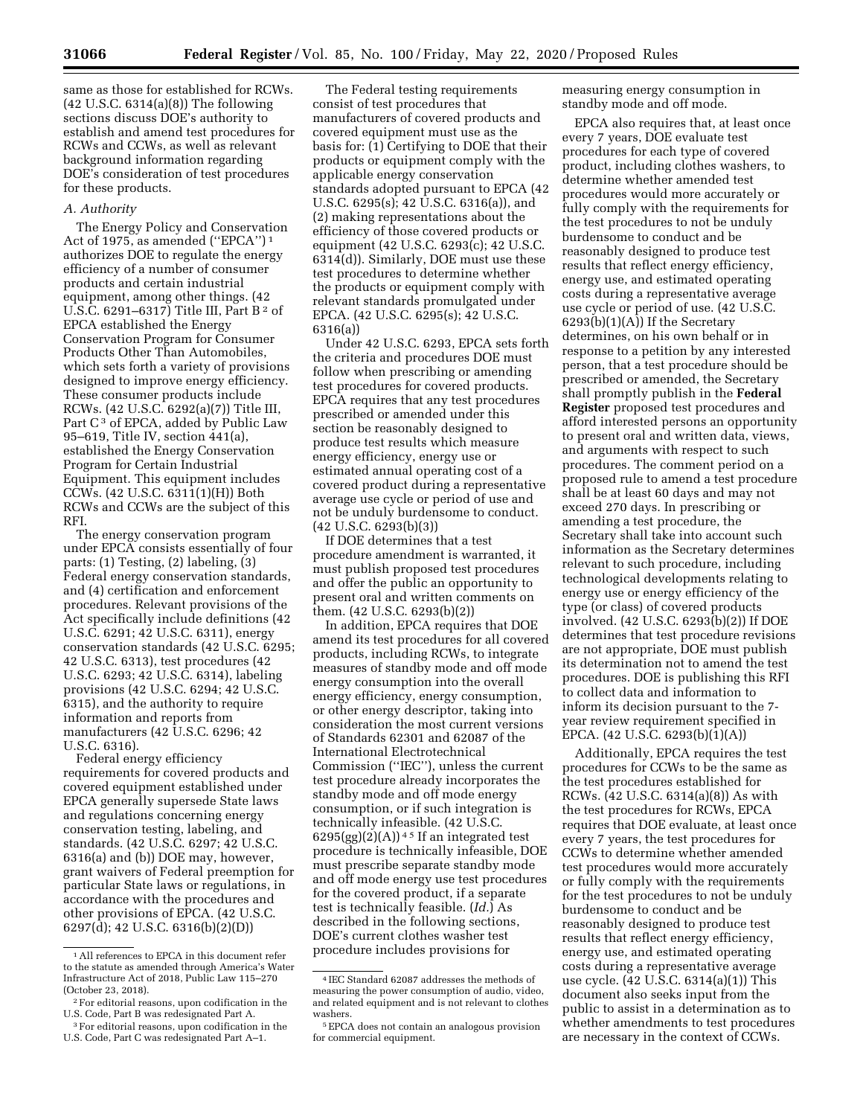same as those for established for RCWs. (42 U.S.C. 6314(a)(8)) The following sections discuss DOE's authority to establish and amend test procedures for RCWs and CCWs, as well as relevant background information regarding DOE's consideration of test procedures for these products.

### *A. Authority*

The Energy Policy and Conservation Act of 1975, as amended ("EPCA")<sup>1</sup> authorizes DOE to regulate the energy efficiency of a number of consumer products and certain industrial equipment, among other things. (42 U.S.C. 6291-6317) Title III, Part B<sup>2</sup> of EPCA established the Energy Conservation Program for Consumer Products Other Than Automobiles, which sets forth a variety of provisions designed to improve energy efficiency. These consumer products include RCWs. (42 U.S.C. 6292(a)(7)) Title III, Part C<sup>3</sup> of EPCA, added by Public Law 95–619, Title IV, section 441(a), established the Energy Conservation Program for Certain Industrial Equipment. This equipment includes CCWs. (42 U.S.C. 6311(1)(H)) Both RCWs and CCWs are the subject of this RFI.

The energy conservation program under EPCA consists essentially of four parts: (1) Testing, (2) labeling, (3) Federal energy conservation standards, and (4) certification and enforcement procedures. Relevant provisions of the Act specifically include definitions (42 U.S.C. 6291; 42 U.S.C. 6311), energy conservation standards (42 U.S.C. 6295; 42 U.S.C. 6313), test procedures (42 U.S.C. 6293; 42 U.S.C. 6314), labeling provisions (42 U.S.C. 6294; 42 U.S.C. 6315), and the authority to require information and reports from manufacturers (42 U.S.C. 6296; 42 U.S.C. 6316).

Federal energy efficiency requirements for covered products and covered equipment established under EPCA generally supersede State laws and regulations concerning energy conservation testing, labeling, and standards. (42 U.S.C. 6297; 42 U.S.C. 6316(a) and (b)) DOE may, however, grant waivers of Federal preemption for particular State laws or regulations, in accordance with the procedures and other provisions of EPCA. (42 U.S.C. 6297(d); 42 U.S.C. 6316(b)(2)(D))

The Federal testing requirements consist of test procedures that manufacturers of covered products and covered equipment must use as the basis for: (1) Certifying to DOE that their products or equipment comply with the applicable energy conservation standards adopted pursuant to EPCA (42 U.S.C. 6295(s); 42 U.S.C. 6316(a)), and (2) making representations about the efficiency of those covered products or equipment (42 U.S.C. 6293(c); 42 U.S.C. 6314(d)). Similarly, DOE must use these test procedures to determine whether the products or equipment comply with relevant standards promulgated under EPCA. (42 U.S.C. 6295(s); 42 U.S.C. 6316(a))

Under 42 U.S.C. 6293, EPCA sets forth the criteria and procedures DOE must follow when prescribing or amending test procedures for covered products. EPCA requires that any test procedures prescribed or amended under this section be reasonably designed to produce test results which measure energy efficiency, energy use or estimated annual operating cost of a covered product during a representative average use cycle or period of use and not be unduly burdensome to conduct. (42 U.S.C. 6293(b)(3))

If DOE determines that a test procedure amendment is warranted, it must publish proposed test procedures and offer the public an opportunity to present oral and written comments on them. (42 U.S.C. 6293(b)(2))

In addition, EPCA requires that DOE amend its test procedures for all covered products, including RCWs, to integrate measures of standby mode and off mode energy consumption into the overall energy efficiency, energy consumption, or other energy descriptor, taking into consideration the most current versions of Standards 62301 and 62087 of the International Electrotechnical Commission (''IEC''), unless the current test procedure already incorporates the standby mode and off mode energy consumption, or if such integration is technically infeasible. (42 U.S.C.  $6295(gg)(2)(A)$ <sup>45</sup> If an integrated test procedure is technically infeasible, DOE must prescribe separate standby mode and off mode energy use test procedures for the covered product, if a separate test is technically feasible. (*Id.*) As described in the following sections, DOE's current clothes washer test procedure includes provisions for

measuring energy consumption in standby mode and off mode.

EPCA also requires that, at least once every 7 years, DOE evaluate test procedures for each type of covered product, including clothes washers, to determine whether amended test procedures would more accurately or fully comply with the requirements for the test procedures to not be unduly burdensome to conduct and be reasonably designed to produce test results that reflect energy efficiency, energy use, and estimated operating costs during a representative average use cycle or period of use. (42 U.S.C.  $6293(b)(1)(A))$  If the Secretary determines, on his own behalf or in response to a petition by any interested person, that a test procedure should be prescribed or amended, the Secretary shall promptly publish in the **Federal Register** proposed test procedures and afford interested persons an opportunity to present oral and written data, views, and arguments with respect to such procedures. The comment period on a proposed rule to amend a test procedure shall be at least 60 days and may not exceed 270 days. In prescribing or amending a test procedure, the Secretary shall take into account such information as the Secretary determines relevant to such procedure, including technological developments relating to energy use or energy efficiency of the type (or class) of covered products involved. (42 U.S.C. 6293(b)(2)) If DOE determines that test procedure revisions are not appropriate, DOE must publish its determination not to amend the test procedures. DOE is publishing this RFI to collect data and information to inform its decision pursuant to the 7 year review requirement specified in EPCA. (42 U.S.C. 6293(b)(1)(A))

Additionally, EPCA requires the test procedures for CCWs to be the same as the test procedures established for RCWs. (42 U.S.C. 6314(a)(8)) As with the test procedures for RCWs, EPCA requires that DOE evaluate, at least once every 7 years, the test procedures for CCWs to determine whether amended test procedures would more accurately or fully comply with the requirements for the test procedures to not be unduly burdensome to conduct and be reasonably designed to produce test results that reflect energy efficiency, energy use, and estimated operating costs during a representative average use cycle. (42 U.S.C. 6314(a)(1)) This document also seeks input from the public to assist in a determination as to whether amendments to test procedures are necessary in the context of CCWs.

<sup>1</sup>All references to EPCA in this document refer to the statute as amended through America's Water Infrastructure Act of 2018, Public Law 115–270 (October 23, 2018).

<sup>2</sup>For editorial reasons, upon codification in the U.S. Code, Part B was redesignated Part A.

<sup>3</sup>For editorial reasons, upon codification in the U.S. Code, Part C was redesignated Part A–1.

<sup>4</sup> IEC Standard 62087 addresses the methods of measuring the power consumption of audio, video, and related equipment and is not relevant to clothes washers.

<sup>5</sup>EPCA does not contain an analogous provision for commercial equipment.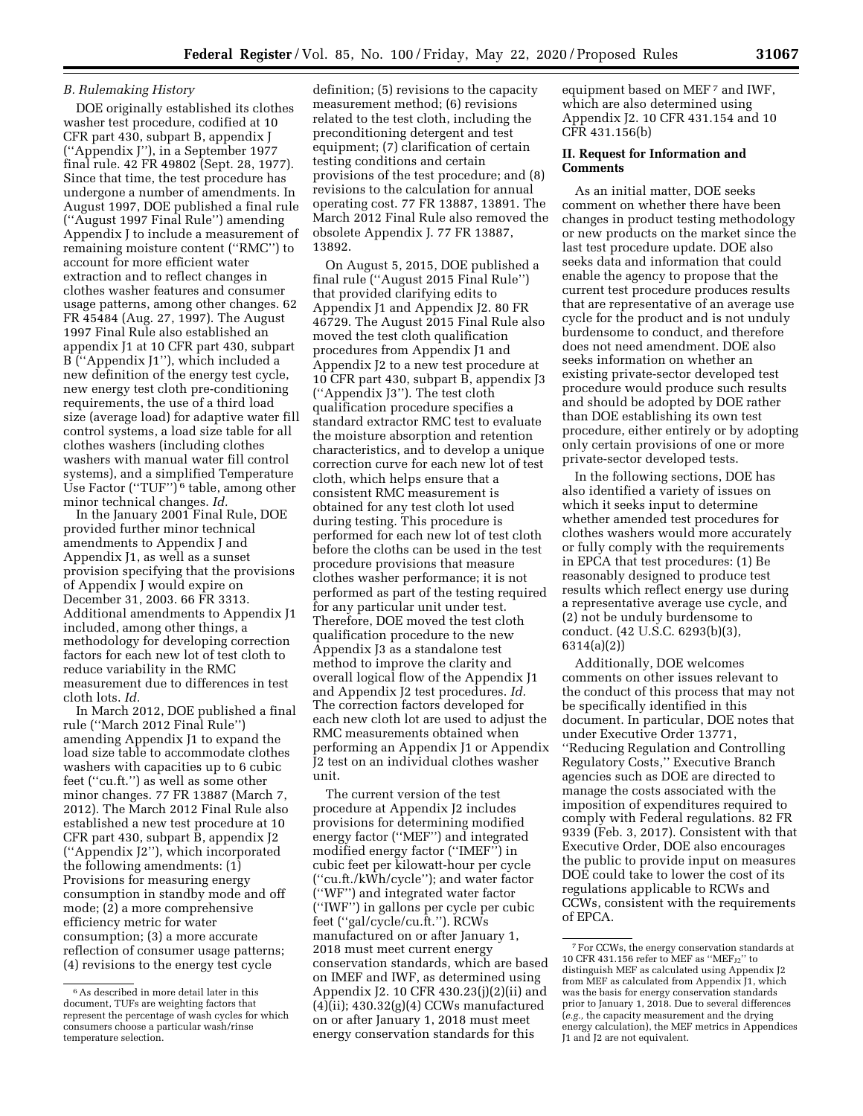#### *B. Rulemaking History*

DOE originally established its clothes washer test procedure, codified at 10 CFR part 430, subpart B, appendix J (''Appendix J''), in a September 1977 final rule. 42 FR 49802 (Sept. 28, 1977). Since that time, the test procedure has undergone a number of amendments. In August 1997, DOE published a final rule (''August 1997 Final Rule'') amending Appendix J to include a measurement of remaining moisture content (''RMC'') to account for more efficient water extraction and to reflect changes in clothes washer features and consumer usage patterns, among other changes. 62 FR 45484 (Aug. 27, 1997). The August 1997 Final Rule also established an appendix J1 at 10 CFR part 430, subpart B (''Appendix J1''), which included a new definition of the energy test cycle, new energy test cloth pre-conditioning requirements, the use of a third load size (average load) for adaptive water fill control systems, a load size table for all clothes washers (including clothes washers with manual water fill control systems), and a simplified Temperature Use Factor (''TUF'') 6 table, among other minor technical changes. *Id.* 

In the January 2001 Final Rule, DOE provided further minor technical amendments to Appendix J and Appendix J1, as well as a sunset provision specifying that the provisions of Appendix J would expire on December 31, 2003. 66 FR 3313. Additional amendments to Appendix J1 included, among other things, a methodology for developing correction factors for each new lot of test cloth to reduce variability in the RMC measurement due to differences in test cloth lots. *Id.* 

In March 2012, DOE published a final rule (''March 2012 Final Rule'') amending Appendix J1 to expand the load size table to accommodate clothes washers with capacities up to 6 cubic feet (''cu.ft.'') as well as some other minor changes. 77 FR 13887 (March 7, 2012). The March 2012 Final Rule also established a new test procedure at 10 CFR part 430, subpart B, appendix J2 (''Appendix J2''), which incorporated the following amendments: (1) Provisions for measuring energy consumption in standby mode and off mode; (2) a more comprehensive efficiency metric for water consumption; (3) a more accurate reflection of consumer usage patterns; (4) revisions to the energy test cycle

definition; (5) revisions to the capacity measurement method; (6) revisions related to the test cloth, including the preconditioning detergent and test equipment; (7) clarification of certain testing conditions and certain provisions of the test procedure; and (8) revisions to the calculation for annual operating cost. 77 FR 13887, 13891. The March 2012 Final Rule also removed the obsolete Appendix J. 77 FR 13887, 13892.

On August 5, 2015, DOE published a final rule (''August 2015 Final Rule'') that provided clarifying edits to Appendix J1 and Appendix J2. 80 FR 46729. The August 2015 Final Rule also moved the test cloth qualification procedures from Appendix J1 and Appendix J2 to a new test procedure at 10 CFR part 430, subpart B, appendix J3 (''Appendix J3''). The test cloth qualification procedure specifies a standard extractor RMC test to evaluate the moisture absorption and retention characteristics, and to develop a unique correction curve for each new lot of test cloth, which helps ensure that a consistent RMC measurement is obtained for any test cloth lot used during testing. This procedure is performed for each new lot of test cloth before the cloths can be used in the test procedure provisions that measure clothes washer performance; it is not performed as part of the testing required for any particular unit under test. Therefore, DOE moved the test cloth qualification procedure to the new Appendix J3 as a standalone test method to improve the clarity and overall logical flow of the Appendix J1 and Appendix J2 test procedures. *Id.*  The correction factors developed for each new cloth lot are used to adjust the RMC measurements obtained when performing an Appendix J1 or Appendix J2 test on an individual clothes washer unit.

The current version of the test procedure at Appendix J2 includes provisions for determining modified energy factor (''MEF'') and integrated modified energy factor (''IMEF'') in cubic feet per kilowatt-hour per cycle (''cu.ft./kWh/cycle''); and water factor (''WF'') and integrated water factor (''IWF'') in gallons per cycle per cubic feet (''gal/cycle/cu.ft.''). RCWs manufactured on or after January 1, 2018 must meet current energy conservation standards, which are based on IMEF and IWF, as determined using Appendix J2. 10 CFR 430.23(j)(2)(ii) and  $(4)(ii)$ ; 430.32 $(g)(4)$  CCWs manufactured on or after January 1, 2018 must meet energy conservation standards for this

equipment based on MEF 7 and IWF, which are also determined using Appendix J2. 10 CFR 431.154 and 10 CFR 431.156(b)

# **II. Request for Information and Comments**

As an initial matter, DOE seeks comment on whether there have been changes in product testing methodology or new products on the market since the last test procedure update. DOE also seeks data and information that could enable the agency to propose that the current test procedure produces results that are representative of an average use cycle for the product and is not unduly burdensome to conduct, and therefore does not need amendment. DOE also seeks information on whether an existing private-sector developed test procedure would produce such results and should be adopted by DOE rather than DOE establishing its own test procedure, either entirely or by adopting only certain provisions of one or more private-sector developed tests.

In the following sections, DOE has also identified a variety of issues on which it seeks input to determine whether amended test procedures for clothes washers would more accurately or fully comply with the requirements in EPCA that test procedures: (1) Be reasonably designed to produce test results which reflect energy use during a representative average use cycle, and (2) not be unduly burdensome to conduct. (42 U.S.C. 6293(b)(3), 6314(a)(2))

Additionally, DOE welcomes comments on other issues relevant to the conduct of this process that may not be specifically identified in this document. In particular, DOE notes that under Executive Order 13771, ''Reducing Regulation and Controlling Regulatory Costs,'' Executive Branch agencies such as DOE are directed to manage the costs associated with the imposition of expenditures required to comply with Federal regulations. 82 FR 9339 (Feb. 3, 2017). Consistent with that Executive Order, DOE also encourages the public to provide input on measures DOE could take to lower the cost of its regulations applicable to RCWs and CCWs, consistent with the requirements of EPCA.

<sup>6</sup>As described in more detail later in this document, TUFs are weighting factors that represent the percentage of wash cycles for which consumers choose a particular wash/rinse temperature selection.

<sup>7</sup>For CCWs, the energy conservation standards at 10 CFR 431.156 refer to MEF as ''MEFJ2'' to distinguish MEF as calculated using Appendix J2 from MEF as calculated from Appendix J1, which was the basis for energy conservation standards prior to January 1, 2018. Due to several differences (*e.g.,* the capacity measurement and the drying energy calculation), the MEF metrics in Appendices J1 and J2 are not equivalent.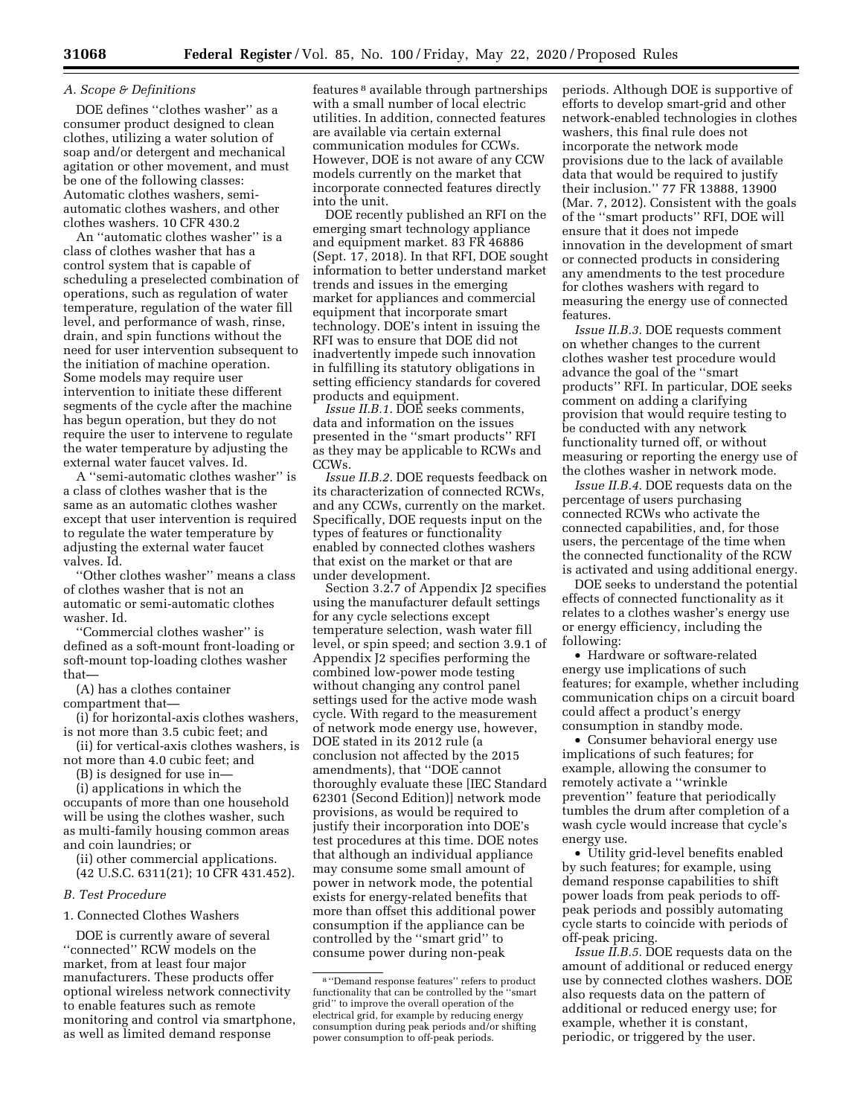#### *A. Scope & Definitions*

DOE defines ''clothes washer'' as a consumer product designed to clean clothes, utilizing a water solution of soap and/or detergent and mechanical agitation or other movement, and must be one of the following classes: Automatic clothes washers, semiautomatic clothes washers, and other clothes washers. 10 CFR 430.2

An ''automatic clothes washer'' is a class of clothes washer that has a control system that is capable of scheduling a preselected combination of operations, such as regulation of water temperature, regulation of the water fill level, and performance of wash, rinse, drain, and spin functions without the need for user intervention subsequent to the initiation of machine operation. Some models may require user intervention to initiate these different segments of the cycle after the machine has begun operation, but they do not require the user to intervene to regulate the water temperature by adjusting the external water faucet valves. Id.

A ''semi-automatic clothes washer'' is a class of clothes washer that is the same as an automatic clothes washer except that user intervention is required to regulate the water temperature by adjusting the external water faucet valves. Id.

''Other clothes washer'' means a class of clothes washer that is not an automatic or semi-automatic clothes washer. Id.

''Commercial clothes washer'' is defined as a soft-mount front-loading or soft-mount top-loading clothes washer that—

(A) has a clothes container compartment that—

(i) for horizontal-axis clothes washers, is not more than 3.5 cubic feet; and

(ii) for vertical-axis clothes washers, is not more than 4.0 cubic feet; and

(B) is designed for use in—

(i) applications in which the

occupants of more than one household will be using the clothes washer, such as multi-family housing common areas and coin laundries; or

(ii) other commercial applications. (42 U.S.C. 6311(21); 10 CFR 431.452).

### *B. Test Procedure*

# 1. Connected Clothes Washers

DOE is currently aware of several ''connected'' RCW models on the market, from at least four major manufacturers. These products offer optional wireless network connectivity to enable features such as remote monitoring and control via smartphone, as well as limited demand response

features 8 available through partnerships with a small number of local electric utilities. In addition, connected features are available via certain external communication modules for CCWs. However, DOE is not aware of any CCW models currently on the market that incorporate connected features directly into the unit.

DOE recently published an RFI on the emerging smart technology appliance and equipment market. 83 FR 46886 (Sept. 17, 2018). In that RFI, DOE sought information to better understand market trends and issues in the emerging market for appliances and commercial equipment that incorporate smart technology. DOE's intent in issuing the RFI was to ensure that DOE did not inadvertently impede such innovation in fulfilling its statutory obligations in setting efficiency standards for covered products and equipment.

*Issue II.B.1.* DOE seeks comments, data and information on the issues presented in the ''smart products'' RFI as they may be applicable to RCWs and CCWs.

*Issue II.B.2.* DOE requests feedback on its characterization of connected RCWs, and any CCWs, currently on the market. Specifically, DOE requests input on the types of features or functionality enabled by connected clothes washers that exist on the market or that are under development.

Section 3.2.7 of Appendix J2 specifies using the manufacturer default settings for any cycle selections except temperature selection, wash water fill level, or spin speed; and section 3.9.1 of Appendix J2 specifies performing the combined low-power mode testing without changing any control panel settings used for the active mode wash cycle. With regard to the measurement of network mode energy use, however, DOE stated in its 2012 rule (a conclusion not affected by the 2015 amendments), that ''DOE cannot thoroughly evaluate these [IEC Standard 62301 (Second Edition)] network mode provisions, as would be required to justify their incorporation into DOE's test procedures at this time. DOE notes that although an individual appliance may consume some small amount of power in network mode, the potential exists for energy-related benefits that more than offset this additional power consumption if the appliance can be controlled by the ''smart grid'' to consume power during non-peak

periods. Although DOE is supportive of efforts to develop smart-grid and other network-enabled technologies in clothes washers, this final rule does not incorporate the network mode provisions due to the lack of available data that would be required to justify their inclusion.'' 77 FR 13888, 13900 (Mar. 7, 2012). Consistent with the goals of the ''smart products'' RFI, DOE will ensure that it does not impede innovation in the development of smart or connected products in considering any amendments to the test procedure for clothes washers with regard to measuring the energy use of connected features.

*Issue II.B.3.* DOE requests comment on whether changes to the current clothes washer test procedure would advance the goal of the ''smart products'' RFI. In particular, DOE seeks comment on adding a clarifying provision that would require testing to be conducted with any network functionality turned off, or without measuring or reporting the energy use of the clothes washer in network mode.

*Issue II.B.4.* DOE requests data on the percentage of users purchasing connected RCWs who activate the connected capabilities, and, for those users, the percentage of the time when the connected functionality of the RCW is activated and using additional energy.

DOE seeks to understand the potential effects of connected functionality as it relates to a clothes washer's energy use or energy efficiency, including the following:

• Hardware or software-related energy use implications of such features; for example, whether including communication chips on a circuit board could affect a product's energy consumption in standby mode.

• Consumer behavioral energy use implications of such features; for example, allowing the consumer to remotely activate a ''wrinkle prevention'' feature that periodically tumbles the drum after completion of a wash cycle would increase that cycle's energy use.

• Utility grid-level benefits enabled by such features; for example, using demand response capabilities to shift power loads from peak periods to offpeak periods and possibly automating cycle starts to coincide with periods of off-peak pricing.

*Issue II.B.5.* DOE requests data on the amount of additional or reduced energy use by connected clothes washers. DOE also requests data on the pattern of additional or reduced energy use; for example, whether it is constant, periodic, or triggered by the user.

<sup>8</sup> ''Demand response features'' refers to product functionality that can be controlled by the ''smart grid'' to improve the overall operation of the electrical grid, for example by reducing energy consumption during peak periods and/or shifting power consumption to off-peak periods.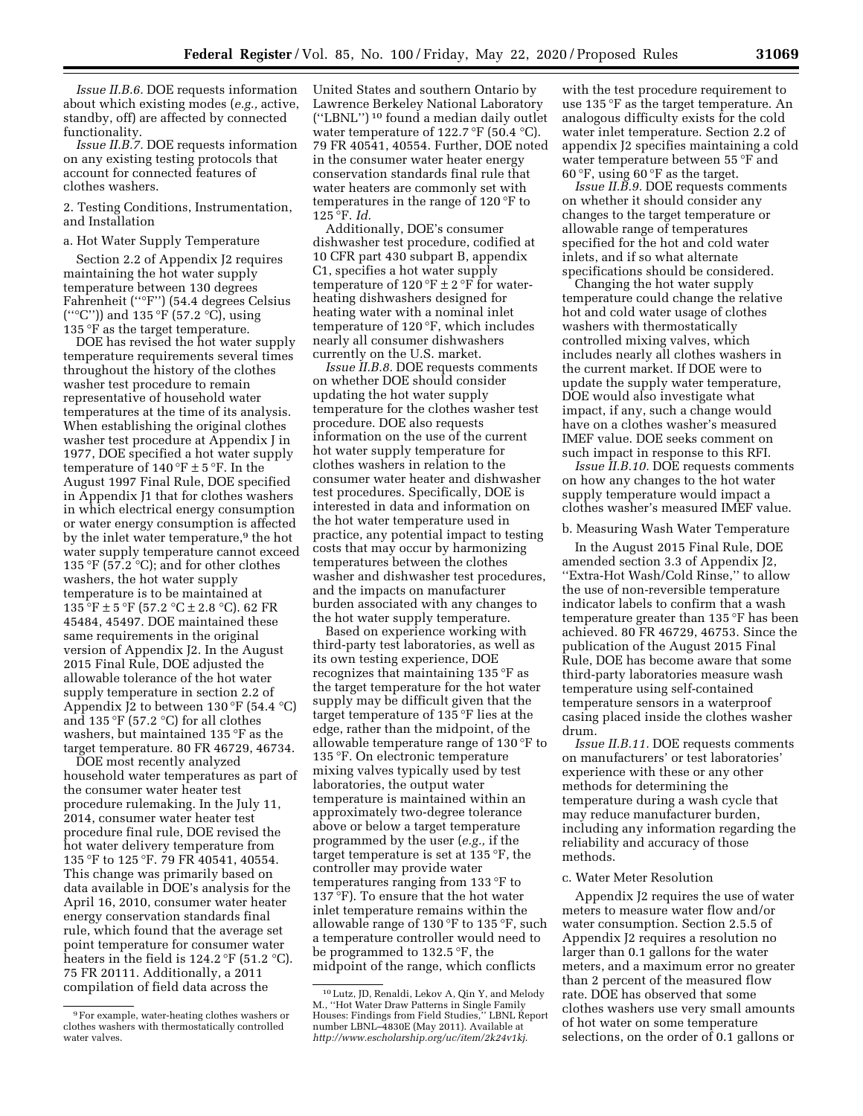*Issue II.B.6.* DOE requests information about which existing modes (*e.g.,* active, standby, off) are affected by connected functionality.

*Issue II.B.7.* DOE requests information on any existing testing protocols that account for connected features of clothes washers.

#### 2. Testing Conditions, Instrumentation, and Installation

### a. Hot Water Supply Temperature

Section 2.2 of Appendix J2 requires maintaining the hot water supply temperature between 130 degrees Fahrenheit (''°F'') (54.4 degrees Celsius (" $^{\circ}$ C")) and 135  $^{\circ}$ F (57.2  $^{\circ}$ C), using 135 °F as the target temperature.

DOE has revised the hot water supply temperature requirements several times throughout the history of the clothes washer test procedure to remain representative of household water temperatures at the time of its analysis. When establishing the original clothes washer test procedure at Appendix J in 1977, DOE specified a hot water supply temperature of  $140\text{°F} \pm 5\text{°F}$ . In the August 1997 Final Rule, DOE specified in Appendix J1 that for clothes washers in which electrical energy consumption or water energy consumption is affected by the inlet water temperature,<sup>9</sup> the hot water supply temperature cannot exceed 135 °F (57.2 °C); and for other clothes washers, the hot water supply temperature is to be maintained at  $135 \, \text{°F} \pm 5 \, \text{°F}$  (57.2 °C  $\pm$  2.8 °C). 62 FR 45484, 45497. DOE maintained these same requirements in the original version of Appendix J2. In the August 2015 Final Rule, DOE adjusted the allowable tolerance of the hot water supply temperature in section 2.2 of Appendix J2 to between  $130 \text{°F}$  (54.4 °C) and 135 °F (57.2 °C) for all clothes washers, but maintained 135 °F as the target temperature. 80 FR 46729, 46734.

DOE most recently analyzed household water temperatures as part of the consumer water heater test procedure rulemaking. In the July 11, 2014, consumer water heater test procedure final rule, DOE revised the hot water delivery temperature from 135 °F to 125 °F. 79 FR 40541, 40554. This change was primarily based on data available in DOE's analysis for the April 16, 2010, consumer water heater energy conservation standards final rule, which found that the average set point temperature for consumer water heaters in the field is  $124.2 \text{ }^{\circ}\text{F}$  (51.2  $\text{ }^{\circ}\text{C}$ ). 75 FR 20111. Additionally, a 2011 compilation of field data across the

United States and southern Ontario by Lawrence Berkeley National Laboratory (''LBNL'') 10 found a median daily outlet water temperature of 122.7 °F (50.4 °C). 79 FR 40541, 40554. Further, DOE noted in the consumer water heater energy conservation standards final rule that water heaters are commonly set with temperatures in the range of 120 °F to 125 °F. *Id.* 

Additionally, DOE's consumer dishwasher test procedure, codified at 10 CFR part 430 subpart B, appendix C1, specifies a hot water supply temperature of  $120 \degree F \pm 2 \degree F$  for waterheating dishwashers designed for heating water with a nominal inlet temperature of 120 °F, which includes nearly all consumer dishwashers currently on the U.S. market.

*Issue II.B.8.* DOE requests comments on whether DOE should consider updating the hot water supply temperature for the clothes washer test procedure. DOE also requests information on the use of the current hot water supply temperature for clothes washers in relation to the consumer water heater and dishwasher test procedures. Specifically, DOE is interested in data and information on the hot water temperature used in practice, any potential impact to testing costs that may occur by harmonizing temperatures between the clothes washer and dishwasher test procedures, and the impacts on manufacturer burden associated with any changes to the hot water supply temperature.

Based on experience working with third-party test laboratories, as well as its own testing experience, DOE recognizes that maintaining 135 °F as the target temperature for the hot water supply may be difficult given that the target temperature of 135 °F lies at the edge, rather than the midpoint, of the allowable temperature range of 130 °F to 135 °F. On electronic temperature mixing valves typically used by test laboratories, the output water temperature is maintained within an approximately two-degree tolerance above or below a target temperature programmed by the user (*e.g.,* if the target temperature is set at 135 °F, the controller may provide water temperatures ranging from 133 °F to 137 °F). To ensure that the hot water inlet temperature remains within the allowable range of 130 °F to 135 °F, such a temperature controller would need to be programmed to 132.5 °F, the midpoint of the range, which conflicts

with the test procedure requirement to use 135 °F as the target temperature. An analogous difficulty exists for the cold water inlet temperature. Section 2.2 of appendix J2 specifies maintaining a cold water temperature between 55 °F and 60 $\degree$ F, using 60 $\degree$ F as the target.

*Issue II.B.9.* DOE requests comments on whether it should consider any changes to the target temperature or allowable range of temperatures specified for the hot and cold water inlets, and if so what alternate specifications should be considered.

Changing the hot water supply temperature could change the relative hot and cold water usage of clothes washers with thermostatically controlled mixing valves, which includes nearly all clothes washers in the current market. If DOE were to update the supply water temperature, DOE would also investigate what impact, if any, such a change would have on a clothes washer's measured IMEF value. DOE seeks comment on such impact in response to this RFI.

*Issue II.B.10.* DOE requests comments on how any changes to the hot water supply temperature would impact a clothes washer's measured IMEF value.

# b. Measuring Wash Water Temperature

In the August 2015 Final Rule, DOE amended section 3.3 of Appendix J2, ''Extra-Hot Wash/Cold Rinse,'' to allow the use of non-reversible temperature indicator labels to confirm that a wash temperature greater than 135 °F has been achieved. 80 FR 46729, 46753. Since the publication of the August 2015 Final Rule, DOE has become aware that some third-party laboratories measure wash temperature using self-contained temperature sensors in a waterproof casing placed inside the clothes washer drum.

*Issue II.B.11.* DOE requests comments on manufacturers' or test laboratories' experience with these or any other methods for determining the temperature during a wash cycle that may reduce manufacturer burden, including any information regarding the reliability and accuracy of those methods.

#### c. Water Meter Resolution

Appendix J2 requires the use of water meters to measure water flow and/or water consumption. Section 2.5.5 of Appendix J2 requires a resolution no larger than 0.1 gallons for the water meters, and a maximum error no greater than 2 percent of the measured flow rate. DOE has observed that some clothes washers use very small amounts of hot water on some temperature selections, on the order of 0.1 gallons or

<sup>9</sup>For example, water-heating clothes washers or clothes washers with thermostatically controlled water valves.

<sup>10</sup>Lutz, JD, Renaldi, Lekov A, Qin Y, and Melody M., ''Hot Water Draw Patterns in Single Family Houses: Findings from Field Studies,'' LBNL Report number LBNL–4830E (May 2011). Available at *<http://www.escholarship.org/uc/item/2k24v1kj>*.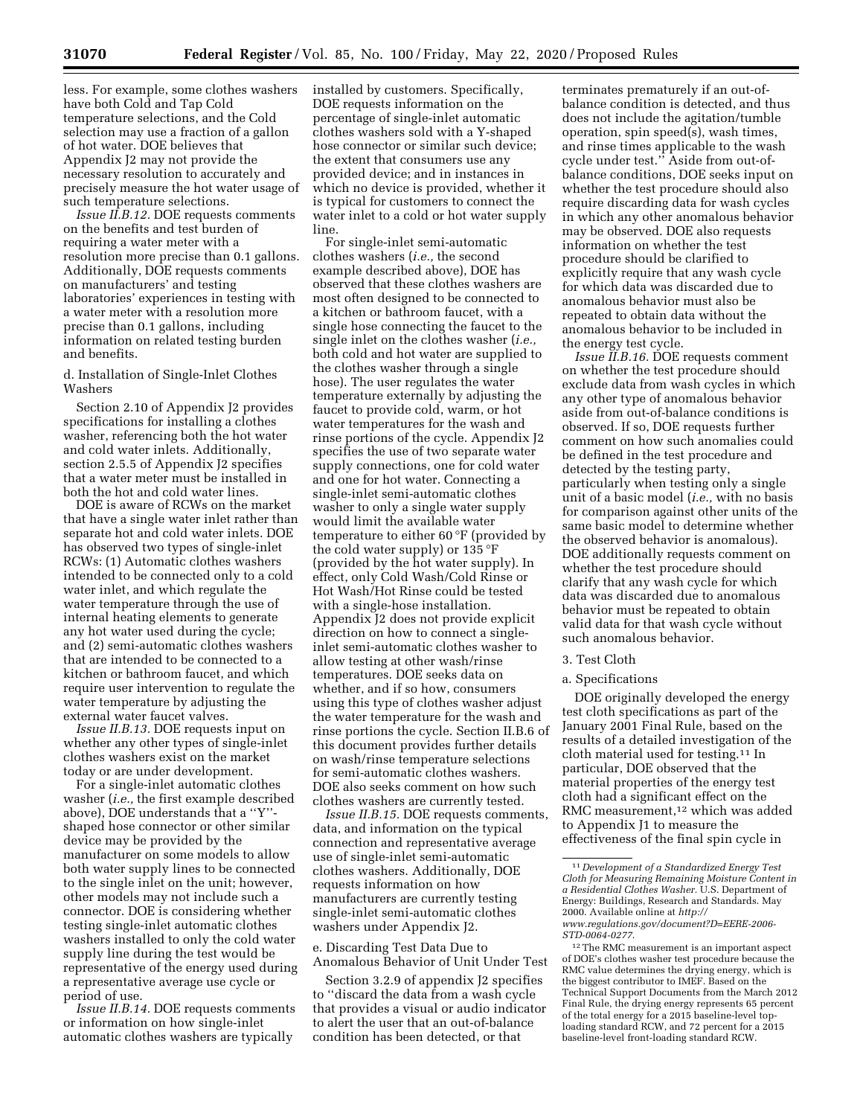less. For example, some clothes washers have both Cold and Tap Cold temperature selections, and the Cold selection may use a fraction of a gallon of hot water. DOE believes that Appendix J2 may not provide the necessary resolution to accurately and precisely measure the hot water usage of such temperature selections.

*Issue II.B.12.* DOE requests comments on the benefits and test burden of requiring a water meter with a resolution more precise than 0.1 gallons. Additionally, DOE requests comments on manufacturers' and testing laboratories' experiences in testing with a water meter with a resolution more precise than 0.1 gallons, including information on related testing burden and benefits.

d. Installation of Single-Inlet Clothes Washers

Section 2.10 of Appendix J2 provides specifications for installing a clothes washer, referencing both the hot water and cold water inlets. Additionally, section 2.5.5 of Appendix J2 specifies that a water meter must be installed in both the hot and cold water lines.

DOE is aware of RCWs on the market that have a single water inlet rather than separate hot and cold water inlets. DOE has observed two types of single-inlet RCWs: (1) Automatic clothes washers intended to be connected only to a cold water inlet, and which regulate the water temperature through the use of internal heating elements to generate any hot water used during the cycle; and (2) semi-automatic clothes washers that are intended to be connected to a kitchen or bathroom faucet, and which require user intervention to regulate the water temperature by adjusting the external water faucet valves.

*Issue II.B.13.* DOE requests input on whether any other types of single-inlet clothes washers exist on the market today or are under development.

For a single-inlet automatic clothes washer (*i.e.,* the first example described above), DOE understands that a ''Y'' shaped hose connector or other similar device may be provided by the manufacturer on some models to allow both water supply lines to be connected to the single inlet on the unit; however, other models may not include such a connector. DOE is considering whether testing single-inlet automatic clothes washers installed to only the cold water supply line during the test would be representative of the energy used during a representative average use cycle or period of use.

*Issue II.B.14.* DOE requests comments or information on how single-inlet automatic clothes washers are typically

installed by customers. Specifically, DOE requests information on the percentage of single-inlet automatic clothes washers sold with a Y-shaped hose connector or similar such device; the extent that consumers use any provided device; and in instances in which no device is provided, whether it is typical for customers to connect the water inlet to a cold or hot water supply line.

For single-inlet semi-automatic clothes washers (*i.e.,* the second example described above), DOE has observed that these clothes washers are most often designed to be connected to a kitchen or bathroom faucet, with a single hose connecting the faucet to the single inlet on the clothes washer (*i.e.,*  both cold and hot water are supplied to the clothes washer through a single hose). The user regulates the water temperature externally by adjusting the faucet to provide cold, warm, or hot water temperatures for the wash and rinse portions of the cycle. Appendix J2 specifies the use of two separate water supply connections, one for cold water and one for hot water. Connecting a single-inlet semi-automatic clothes washer to only a single water supply would limit the available water temperature to either 60 °F (provided by the cold water supply) or 135 °F (provided by the hot water supply). In effect, only Cold Wash/Cold Rinse or Hot Wash/Hot Rinse could be tested with a single-hose installation. Appendix J2 does not provide explicit direction on how to connect a singleinlet semi-automatic clothes washer to allow testing at other wash/rinse temperatures. DOE seeks data on whether, and if so how, consumers using this type of clothes washer adjust the water temperature for the wash and rinse portions the cycle. Section II.B.6 of this document provides further details on wash/rinse temperature selections for semi-automatic clothes washers. DOE also seeks comment on how such clothes washers are currently tested.

*Issue II.B.15.* DOE requests comments, data, and information on the typical connection and representative average use of single-inlet semi-automatic clothes washers. Additionally, DOE requests information on how manufacturers are currently testing single-inlet semi-automatic clothes washers under Appendix J2.

e. Discarding Test Data Due to Anomalous Behavior of Unit Under Test

Section 3.2.9 of appendix J2 specifies to ''discard the data from a wash cycle that provides a visual or audio indicator to alert the user that an out-of-balance condition has been detected, or that

terminates prematurely if an out-ofbalance condition is detected, and thus does not include the agitation/tumble operation, spin speed(s), wash times, and rinse times applicable to the wash cycle under test.'' Aside from out-ofbalance conditions, DOE seeks input on whether the test procedure should also require discarding data for wash cycles in which any other anomalous behavior may be observed. DOE also requests information on whether the test procedure should be clarified to explicitly require that any wash cycle for which data was discarded due to anomalous behavior must also be repeated to obtain data without the anomalous behavior to be included in the energy test cycle.

*Issue II.B.16.* DOE requests comment on whether the test procedure should exclude data from wash cycles in which any other type of anomalous behavior aside from out-of-balance conditions is observed. If so, DOE requests further comment on how such anomalies could be defined in the test procedure and detected by the testing party, particularly when testing only a single unit of a basic model (*i.e.,* with no basis for comparison against other units of the same basic model to determine whether the observed behavior is anomalous). DOE additionally requests comment on whether the test procedure should clarify that any wash cycle for which data was discarded due to anomalous behavior must be repeated to obtain valid data for that wash cycle without such anomalous behavior.

# 3. Test Cloth

### a. Specifications

DOE originally developed the energy test cloth specifications as part of the January 2001 Final Rule, based on the results of a detailed investigation of the cloth material used for testing.11 In particular, DOE observed that the material properties of the energy test cloth had a significant effect on the RMC measurement,<sup>12</sup> which was added to Appendix J1 to measure the effectiveness of the final spin cycle in

<sup>11</sup> *Development of a Standardized Energy Test Cloth for Measuring Remaining Moisture Content in a Residential Clothes Washer.* U.S. Department of Energy: Buildings, Research and Standards. May 2000. Available online at *[http://](http://www.regulations.gov/document?D=EERE-2006-STD-0064-0277) [www.regulations.gov/document?D=EERE-2006-](http://www.regulations.gov/document?D=EERE-2006-STD-0064-0277)  [STD-0064-0277](http://www.regulations.gov/document?D=EERE-2006-STD-0064-0277)*.

<sup>12</sup>The RMC measurement is an important aspect of DOE's clothes washer test procedure because the RMC value determines the drying energy, which is the biggest contributor to IMEF. Based on the Technical Support Documents from the March 2012 Final Rule, the drying energy represents 65 percent of the total energy for a 2015 baseline-level toploading standard RCW, and 72 percent for a 2015 baseline-level front-loading standard RCW.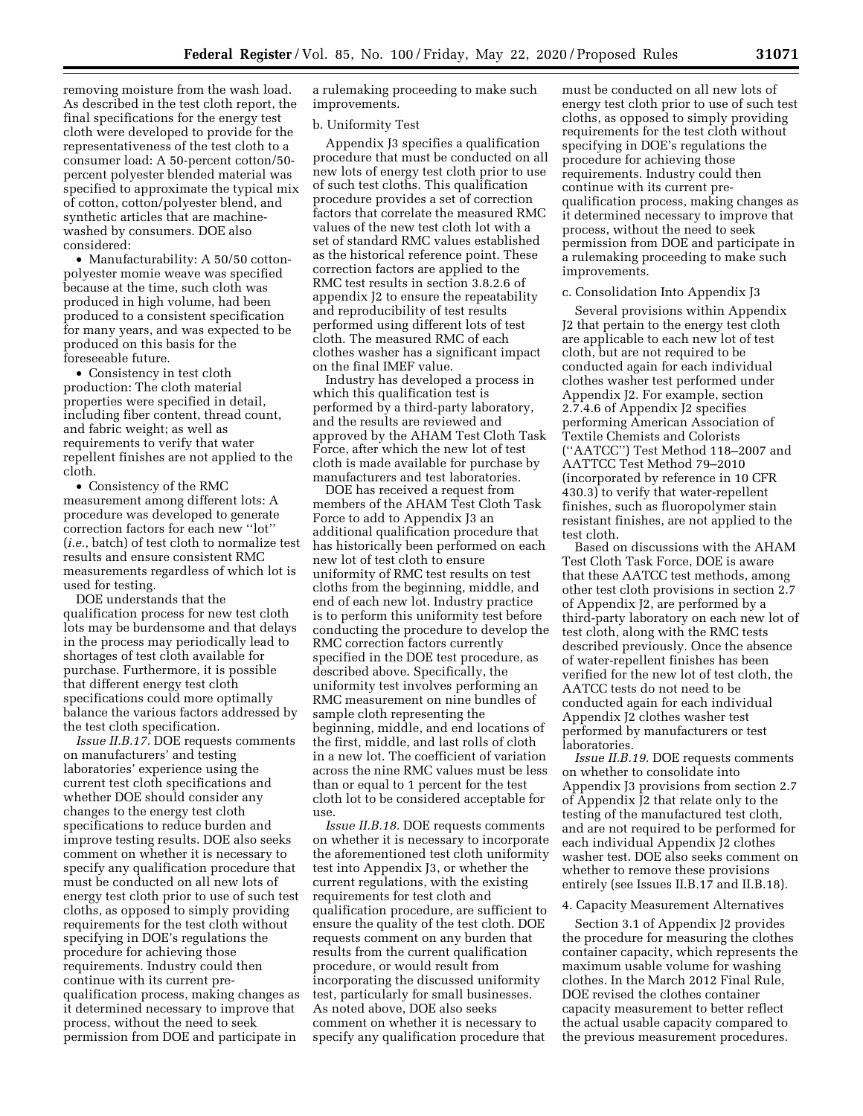removing moisture from the wash load. As described in the test cloth report, the final specifications for the energy test cloth were developed to provide for the representativeness of the test cloth to a consumer load: A 50-percent cotton/50 percent polyester blended material was specified to approximate the typical mix of cotton, cotton/polyester blend, and synthetic articles that are machinewashed by consumers. DOE also considered:

• Manufacturability: A 50/50 cottonpolyester momie weave was specified because at the time, such cloth was produced in high volume, had been produced to a consistent specification for many years, and was expected to be produced on this basis for the foreseeable future.

• Consistency in test cloth production: The cloth material properties were specified in detail, including fiber content, thread count, and fabric weight; as well as requirements to verify that water repellent finishes are not applied to the cloth.

• Consistency of the RMC measurement among different lots: A procedure was developed to generate correction factors for each new ''lot'' (*i.e.,* batch) of test cloth to normalize test results and ensure consistent RMC measurements regardless of which lot is used for testing.

DOE understands that the qualification process for new test cloth lots may be burdensome and that delays in the process may periodically lead to shortages of test cloth available for purchase. Furthermore, it is possible that different energy test cloth specifications could more optimally balance the various factors addressed by the test cloth specification.

*Issue II.B.17.* DOE requests comments on manufacturers' and testing laboratories' experience using the current test cloth specifications and whether DOE should consider any changes to the energy test cloth specifications to reduce burden and improve testing results. DOE also seeks comment on whether it is necessary to specify any qualification procedure that must be conducted on all new lots of energy test cloth prior to use of such test cloths, as opposed to simply providing requirements for the test cloth without specifying in DOE's regulations the procedure for achieving those requirements. Industry could then continue with its current prequalification process, making changes as it determined necessary to improve that process, without the need to seek permission from DOE and participate in

a rulemaking proceeding to make such improvements.

#### b. Uniformity Test

Appendix J3 specifies a qualification procedure that must be conducted on all new lots of energy test cloth prior to use of such test cloths. This qualification procedure provides a set of correction factors that correlate the measured RMC values of the new test cloth lot with a set of standard RMC values established as the historical reference point. These correction factors are applied to the RMC test results in section 3.8.2.6 of appendix J2 to ensure the repeatability and reproducibility of test results performed using different lots of test cloth. The measured RMC of each clothes washer has a significant impact on the final IMEF value.

Industry has developed a process in which this qualification test is performed by a third-party laboratory, and the results are reviewed and approved by the AHAM Test Cloth Task Force, after which the new lot of test cloth is made available for purchase by manufacturers and test laboratories.

DOE has received a request from members of the AHAM Test Cloth Task Force to add to Appendix J3 an additional qualification procedure that has historically been performed on each new lot of test cloth to ensure uniformity of RMC test results on test cloths from the beginning, middle, and end of each new lot. Industry practice is to perform this uniformity test before conducting the procedure to develop the RMC correction factors currently specified in the DOE test procedure, as described above. Specifically, the uniformity test involves performing an RMC measurement on nine bundles of sample cloth representing the beginning, middle, and end locations of the first, middle, and last rolls of cloth in a new lot. The coefficient of variation across the nine RMC values must be less than or equal to 1 percent for the test cloth lot to be considered acceptable for use.

*Issue II.B.18.* DOE requests comments on whether it is necessary to incorporate the aforementioned test cloth uniformity test into Appendix J3, or whether the current regulations, with the existing requirements for test cloth and qualification procedure, are sufficient to ensure the quality of the test cloth. DOE requests comment on any burden that results from the current qualification procedure, or would result from incorporating the discussed uniformity test, particularly for small businesses. As noted above, DOE also seeks comment on whether it is necessary to specify any qualification procedure that

must be conducted on all new lots of energy test cloth prior to use of such test cloths, as opposed to simply providing requirements for the test cloth without specifying in DOE's regulations the procedure for achieving those requirements. Industry could then continue with its current prequalification process, making changes as it determined necessary to improve that process, without the need to seek permission from DOE and participate in a rulemaking proceeding to make such improvements.

#### c. Consolidation Into Appendix J3

Several provisions within Appendix J2 that pertain to the energy test cloth are applicable to each new lot of test cloth, but are not required to be conducted again for each individual clothes washer test performed under Appendix J2. For example, section 2.7.4.6 of Appendix J2 specifies performing American Association of Textile Chemists and Colorists (''AATCC'') Test Method 118–2007 and AATTCC Test Method 79–2010 (incorporated by reference in 10 CFR 430.3) to verify that water-repellent finishes, such as fluoropolymer stain resistant finishes, are not applied to the test cloth.

Based on discussions with the AHAM Test Cloth Task Force, DOE is aware that these AATCC test methods, among other test cloth provisions in section 2.7 of Appendix J2, are performed by a third-party laboratory on each new lot of test cloth, along with the RMC tests described previously. Once the absence of water-repellent finishes has been verified for the new lot of test cloth, the AATCC tests do not need to be conducted again for each individual Appendix J2 clothes washer test performed by manufacturers or test laboratories.

*Issue II.B.19.* DOE requests comments on whether to consolidate into Appendix J3 provisions from section 2.7 of Appendix J2 that relate only to the testing of the manufactured test cloth, and are not required to be performed for each individual Appendix J2 clothes washer test. DOE also seeks comment on whether to remove these provisions entirely (see Issues II.B.17 and II.B.18).

#### 4. Capacity Measurement Alternatives

Section 3.1 of Appendix J2 provides the procedure for measuring the clothes container capacity, which represents the maximum usable volume for washing clothes. In the March 2012 Final Rule, DOE revised the clothes container capacity measurement to better reflect the actual usable capacity compared to the previous measurement procedures.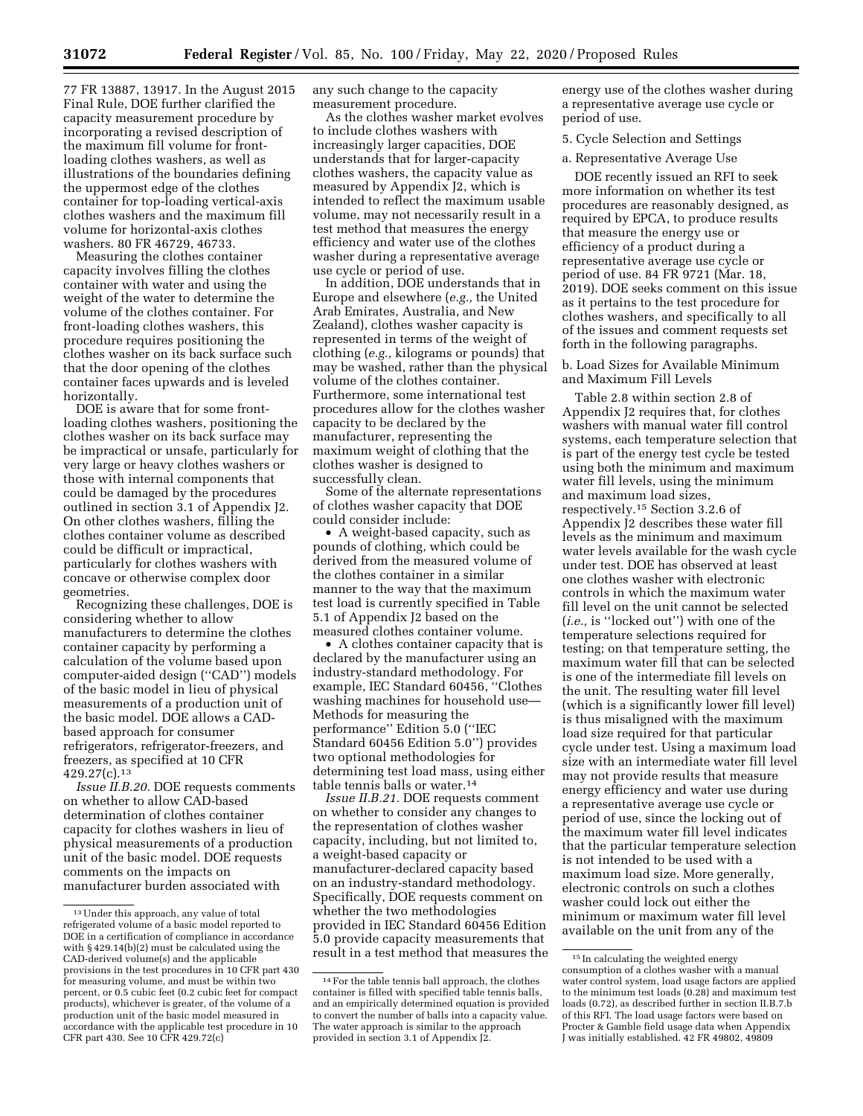77 FR 13887, 13917. In the August 2015 Final Rule, DOE further clarified the capacity measurement procedure by incorporating a revised description of the maximum fill volume for frontloading clothes washers, as well as illustrations of the boundaries defining the uppermost edge of the clothes container for top-loading vertical-axis clothes washers and the maximum fill volume for horizontal-axis clothes washers. 80 FR 46729, 46733.

Measuring the clothes container capacity involves filling the clothes container with water and using the weight of the water to determine the volume of the clothes container. For front-loading clothes washers, this procedure requires positioning the clothes washer on its back surface such that the door opening of the clothes container faces upwards and is leveled horizontally.

DOE is aware that for some frontloading clothes washers, positioning the clothes washer on its back surface may be impractical or unsafe, particularly for very large or heavy clothes washers or those with internal components that could be damaged by the procedures outlined in section 3.1 of Appendix J2. On other clothes washers, filling the clothes container volume as described could be difficult or impractical, particularly for clothes washers with concave or otherwise complex door geometries.

Recognizing these challenges, DOE is considering whether to allow manufacturers to determine the clothes container capacity by performing a calculation of the volume based upon computer-aided design (''CAD'') models of the basic model in lieu of physical measurements of a production unit of the basic model. DOE allows a CADbased approach for consumer refrigerators, refrigerator-freezers, and freezers, as specified at 10 CFR 429.27(c).13

*Issue II.B.20.* DOE requests comments on whether to allow CAD-based determination of clothes container capacity for clothes washers in lieu of physical measurements of a production unit of the basic model. DOE requests comments on the impacts on manufacturer burden associated with

any such change to the capacity measurement procedure.

As the clothes washer market evolves to include clothes washers with increasingly larger capacities, DOE understands that for larger-capacity clothes washers, the capacity value as measured by Appendix J2, which is intended to reflect the maximum usable volume, may not necessarily result in a test method that measures the energy efficiency and water use of the clothes washer during a representative average use cycle or period of use.

In addition, DOE understands that in Europe and elsewhere (*e.g.,* the United Arab Emirates, Australia, and New Zealand), clothes washer capacity is represented in terms of the weight of clothing (*e.g.,* kilograms or pounds) that may be washed, rather than the physical volume of the clothes container. Furthermore, some international test procedures allow for the clothes washer capacity to be declared by the manufacturer, representing the maximum weight of clothing that the clothes washer is designed to successfully clean.

Some of the alternate representations of clothes washer capacity that DOE could consider include:

• A weight-based capacity, such as pounds of clothing, which could be derived from the measured volume of the clothes container in a similar manner to the way that the maximum test load is currently specified in Table 5.1 of Appendix J2 based on the measured clothes container volume.

• A clothes container capacity that is declared by the manufacturer using an industry-standard methodology. For example, IEC Standard 60456, ''Clothes washing machines for household use— Methods for measuring the performance'' Edition 5.0 (''IEC Standard 60456 Edition 5.0'') provides two optional methodologies for determining test load mass, using either table tennis balls or water.14

*Issue II.B.21.* DOE requests comment on whether to consider any changes to the representation of clothes washer capacity, including, but not limited to, a weight-based capacity or manufacturer-declared capacity based on an industry-standard methodology. Specifically, DOE requests comment on whether the two methodologies provided in IEC Standard 60456 Edition 5.0 provide capacity measurements that result in a test method that measures the energy use of the clothes washer during a representative average use cycle or period of use.

5. Cycle Selection and Settings

a. Representative Average Use

DOE recently issued an RFI to seek more information on whether its test procedures are reasonably designed, as required by EPCA, to produce results that measure the energy use or efficiency of a product during a representative average use cycle or period of use. 84 FR 9721 (Mar. 18, 2019). DOE seeks comment on this issue as it pertains to the test procedure for clothes washers, and specifically to all of the issues and comment requests set forth in the following paragraphs.

b. Load Sizes for Available Minimum and Maximum Fill Levels

Table 2.8 within section 2.8 of Appendix J2 requires that, for clothes washers with manual water fill control systems, each temperature selection that is part of the energy test cycle be tested using both the minimum and maximum water fill levels, using the minimum and maximum load sizes, respectively.15 Section 3.2.6 of Appendix J2 describes these water fill levels as the minimum and maximum water levels available for the wash cycle under test. DOE has observed at least one clothes washer with electronic controls in which the maximum water fill level on the unit cannot be selected (*i.e.,* is ''locked out'') with one of the temperature selections required for testing; on that temperature setting, the maximum water fill that can be selected is one of the intermediate fill levels on the unit. The resulting water fill level (which is a significantly lower fill level) is thus misaligned with the maximum load size required for that particular cycle under test. Using a maximum load size with an intermediate water fill level may not provide results that measure energy efficiency and water use during a representative average use cycle or period of use, since the locking out of the maximum water fill level indicates that the particular temperature selection is not intended to be used with a maximum load size. More generally, electronic controls on such a clothes washer could lock out either the minimum or maximum water fill level available on the unit from any of the

<sup>13</sup>Under this approach, any value of total refrigerated volume of a basic model reported to DOE in a certification of compliance in accordance with § 429.14(b)(2) must be calculated using the CAD-derived volume(s) and the applicable provisions in the test procedures in 10 CFR part 430 for measuring volume, and must be within two percent, or 0.5 cubic feet (0.2 cubic feet for compact products), whichever is greater, of the volume of a production unit of the basic model measured in accordance with the applicable test procedure in 10 CFR part 430. See 10 CFR 429.72(c)

<sup>14</sup>For the table tennis ball approach, the clothes container is filled with specified table tennis balls, and an empirically determined equation is provided to convert the number of balls into a capacity value. The water approach is similar to the approach provided in section 3.1 of Appendix J2.

<sup>15</sup> In calculating the weighted energy consumption of a clothes washer with a manual water control system, load usage factors are applied to the minimum test loads (0.28) and maximum test loads (0.72), as described further in section II.B.7.b of this RFI. The load usage factors were based on Procter & Gamble field usage data when Appendix J was initially established. 42 FR 49802, 49809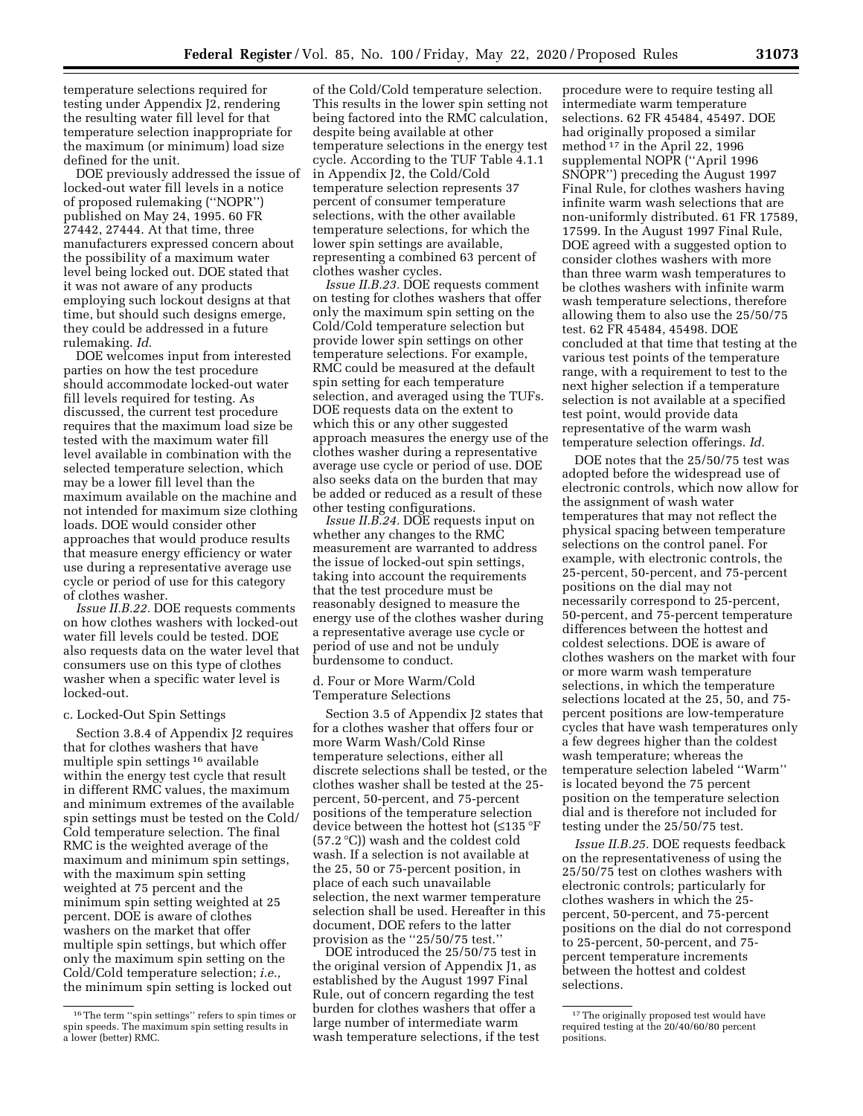temperature selections required for testing under Appendix J2, rendering the resulting water fill level for that temperature selection inappropriate for the maximum (or minimum) load size defined for the unit.

DOE previously addressed the issue of locked-out water fill levels in a notice of proposed rulemaking (''NOPR'') published on May 24, 1995. 60 FR 27442, 27444. At that time, three manufacturers expressed concern about the possibility of a maximum water level being locked out. DOE stated that it was not aware of any products employing such lockout designs at that time, but should such designs emerge, they could be addressed in a future rulemaking. *Id.* 

DOE welcomes input from interested parties on how the test procedure should accommodate locked-out water fill levels required for testing. As discussed, the current test procedure requires that the maximum load size be tested with the maximum water fill level available in combination with the selected temperature selection, which may be a lower fill level than the maximum available on the machine and not intended for maximum size clothing loads. DOE would consider other approaches that would produce results that measure energy efficiency or water use during a representative average use cycle or period of use for this category of clothes washer.

*Issue II.B.22.* DOE requests comments on how clothes washers with locked-out water fill levels could be tested. DOE also requests data on the water level that consumers use on this type of clothes washer when a specific water level is locked-out.

### c. Locked-Out Spin Settings

Section 3.8.4 of Appendix J2 requires that for clothes washers that have multiple spin settings 16 available within the energy test cycle that result in different RMC values, the maximum and minimum extremes of the available spin settings must be tested on the Cold/ Cold temperature selection. The final RMC is the weighted average of the maximum and minimum spin settings, with the maximum spin setting weighted at 75 percent and the minimum spin setting weighted at 25 percent. DOE is aware of clothes washers on the market that offer multiple spin settings, but which offer only the maximum spin setting on the Cold/Cold temperature selection; *i.e.,*  the minimum spin setting is locked out

of the Cold/Cold temperature selection. This results in the lower spin setting not being factored into the RMC calculation, despite being available at other temperature selections in the energy test cycle. According to the TUF Table 4.1.1 in Appendix J2, the Cold/Cold temperature selection represents 37 percent of consumer temperature selections, with the other available temperature selections, for which the lower spin settings are available, representing a combined 63 percent of clothes washer cycles.

*Issue II.B.23.* DOE requests comment on testing for clothes washers that offer only the maximum spin setting on the Cold/Cold temperature selection but provide lower spin settings on other temperature selections. For example, RMC could be measured at the default spin setting for each temperature selection, and averaged using the TUFs. DOE requests data on the extent to which this or any other suggested approach measures the energy use of the clothes washer during a representative average use cycle or period of use. DOE also seeks data on the burden that may be added or reduced as a result of these other testing configurations.

*Issue II.B.24.* DOE requests input on whether any changes to the RMC measurement are warranted to address the issue of locked-out spin settings, taking into account the requirements that the test procedure must be reasonably designed to measure the energy use of the clothes washer during a representative average use cycle or period of use and not be unduly burdensome to conduct.

### d. Four or More Warm/Cold Temperature Selections

Section 3.5 of Appendix J2 states that for a clothes washer that offers four or more Warm Wash/Cold Rinse temperature selections, either all discrete selections shall be tested, or the clothes washer shall be tested at the 25 percent, 50-percent, and 75-percent positions of the temperature selection device between the hottest hot (≤135 °F (57.2 °C)) wash and the coldest cold wash. If a selection is not available at the 25, 50 or 75-percent position, in place of each such unavailable selection, the next warmer temperature selection shall be used. Hereafter in this document, DOE refers to the latter provision as the ''25/50/75 test.''

DOE introduced the 25/50/75 test in the original version of Appendix J1, as established by the August 1997 Final Rule, out of concern regarding the test burden for clothes washers that offer a large number of intermediate warm wash temperature selections, if the test

procedure were to require testing all intermediate warm temperature selections. 62 FR 45484, 45497. DOE had originally proposed a similar method 17 in the April 22, 1996 supplemental NOPR (''April 1996 SNOPR'') preceding the August 1997 Final Rule, for clothes washers having infinite warm wash selections that are non-uniformly distributed. 61 FR 17589, 17599. In the August 1997 Final Rule, DOE agreed with a suggested option to consider clothes washers with more than three warm wash temperatures to be clothes washers with infinite warm wash temperature selections, therefore allowing them to also use the 25/50/75 test. 62 FR 45484, 45498. DOE concluded at that time that testing at the various test points of the temperature range, with a requirement to test to the next higher selection if a temperature selection is not available at a specified test point, would provide data representative of the warm wash temperature selection offerings. *Id.* 

DOE notes that the 25/50/75 test was adopted before the widespread use of electronic controls, which now allow for the assignment of wash water temperatures that may not reflect the physical spacing between temperature selections on the control panel. For example, with electronic controls, the 25-percent, 50-percent, and 75-percent positions on the dial may not necessarily correspond to 25-percent, 50-percent, and 75-percent temperature differences between the hottest and coldest selections. DOE is aware of clothes washers on the market with four or more warm wash temperature selections, in which the temperature selections located at the 25, 50, and 75 percent positions are low-temperature cycles that have wash temperatures only a few degrees higher than the coldest wash temperature; whereas the temperature selection labeled ''Warm'' is located beyond the 75 percent position on the temperature selection dial and is therefore not included for testing under the 25/50/75 test.

*Issue II.B.25.* DOE requests feedback on the representativeness of using the 25/50/75 test on clothes washers with electronic controls; particularly for clothes washers in which the 25 percent, 50-percent, and 75-percent positions on the dial do not correspond to 25-percent, 50-percent, and 75 percent temperature increments between the hottest and coldest selections.

<sup>16</sup>The term ''spin settings'' refers to spin times or spin speeds. The maximum spin setting results in a lower (better) RMC.

<sup>&</sup>lt;sup>17</sup>The originally proposed test would have required testing at the 20/40/60/80 percent positions.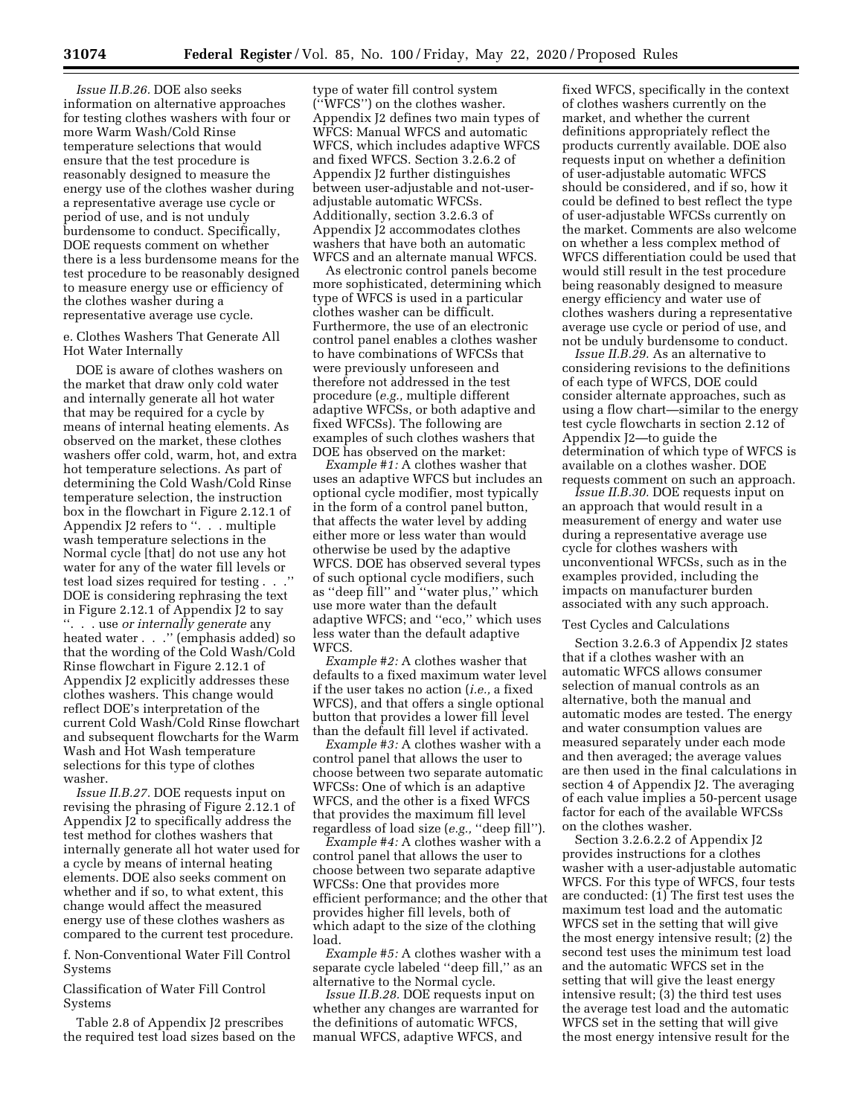*Issue II.B.26.* DOE also seeks information on alternative approaches for testing clothes washers with four or more Warm Wash/Cold Rinse temperature selections that would ensure that the test procedure is reasonably designed to measure the energy use of the clothes washer during a representative average use cycle or period of use, and is not unduly burdensome to conduct. Specifically, DOE requests comment on whether there is a less burdensome means for the test procedure to be reasonably designed to measure energy use or efficiency of the clothes washer during a representative average use cycle.

e. Clothes Washers That Generate All Hot Water Internally

DOE is aware of clothes washers on the market that draw only cold water and internally generate all hot water that may be required for a cycle by means of internal heating elements. As observed on the market, these clothes washers offer cold, warm, hot, and extra hot temperature selections. As part of determining the Cold Wash/Cold Rinse temperature selection, the instruction box in the flowchart in Figure 2.12.1 of Appendix J2 refers to ". . . multiple wash temperature selections in the Normal cycle [that] do not use any hot water for any of the water fill levels or test load sizes required for testing . . .'' DOE is considering rephrasing the text in Figure 2.12.1 of Appendix J2 to say ''. . . use *or internally generate* any heated water . . .'' (emphasis added) so that the wording of the Cold Wash/Cold Rinse flowchart in Figure 2.12.1 of Appendix J2 explicitly addresses these clothes washers. This change would reflect DOE's interpretation of the current Cold Wash/Cold Rinse flowchart and subsequent flowcharts for the Warm Wash and Hot Wash temperature selections for this type of clothes washer.

*Issue II.B.27.* DOE requests input on revising the phrasing of Figure 2.12.1 of Appendix J2 to specifically address the test method for clothes washers that internally generate all hot water used for a cycle by means of internal heating elements. DOE also seeks comment on whether and if so, to what extent, this change would affect the measured energy use of these clothes washers as compared to the current test procedure.

f. Non-Conventional Water Fill Control Systems

Classification of Water Fill Control Systems

Table 2.8 of Appendix J2 prescribes the required test load sizes based on the type of water fill control system (''WFCS'') on the clothes washer. Appendix J2 defines two main types of WFCS: Manual WFCS and automatic WFCS, which includes adaptive WFCS and fixed WFCS. Section 3.2.6.2 of Appendix J2 further distinguishes between user-adjustable and not-useradjustable automatic WFCSs. Additionally, section 3.2.6.3 of Appendix J2 accommodates clothes washers that have both an automatic WFCS and an alternate manual WFCS.

As electronic control panels become more sophisticated, determining which type of WFCS is used in a particular clothes washer can be difficult. Furthermore, the use of an electronic control panel enables a clothes washer to have combinations of WFCSs that were previously unforeseen and therefore not addressed in the test procedure (*e.g.,* multiple different adaptive WFCSs, or both adaptive and fixed WFCSs). The following are examples of such clothes washers that DOE has observed on the market:

*Example #1:* A clothes washer that uses an adaptive WFCS but includes an optional cycle modifier, most typically in the form of a control panel button, that affects the water level by adding either more or less water than would otherwise be used by the adaptive WFCS. DOE has observed several types of such optional cycle modifiers, such as ''deep fill'' and ''water plus,'' which use more water than the default adaptive WFCS; and ''eco,'' which uses less water than the default adaptive WFCS.

*Example #2:* A clothes washer that defaults to a fixed maximum water level if the user takes no action (*i.e.,* a fixed WFCS), and that offers a single optional button that provides a lower fill level than the default fill level if activated.

*Example #3:* A clothes washer with a control panel that allows the user to choose between two separate automatic WFCSs: One of which is an adaptive WFCS, and the other is a fixed WFCS that provides the maximum fill level regardless of load size (*e.g.,* ''deep fill'').

*Example #4:* A clothes washer with a control panel that allows the user to choose between two separate adaptive WFCSs: One that provides more efficient performance; and the other that provides higher fill levels, both of which adapt to the size of the clothing load.

*Example #5:* A clothes washer with a separate cycle labeled ''deep fill,'' as an alternative to the Normal cycle.

*Issue II.B.28.* DOE requests input on whether any changes are warranted for the definitions of automatic WFCS, manual WFCS, adaptive WFCS, and

fixed WFCS, specifically in the context of clothes washers currently on the market, and whether the current definitions appropriately reflect the products currently available. DOE also requests input on whether a definition of user-adjustable automatic WFCS should be considered, and if so, how it could be defined to best reflect the type of user-adjustable WFCSs currently on the market. Comments are also welcome on whether a less complex method of WFCS differentiation could be used that would still result in the test procedure being reasonably designed to measure energy efficiency and water use of clothes washers during a representative average use cycle or period of use, and not be unduly burdensome to conduct.

*Issue II.B.29.* As an alternative to considering revisions to the definitions of each type of WFCS, DOE could consider alternate approaches, such as using a flow chart—similar to the energy test cycle flowcharts in section 2.12 of Appendix J2—to guide the determination of which type of WFCS is available on a clothes washer. DOE requests comment on such an approach.

*Issue II.B.30.* DOE requests input on an approach that would result in a measurement of energy and water use during a representative average use cycle for clothes washers with unconventional WFCSs, such as in the examples provided, including the impacts on manufacturer burden associated with any such approach.

### Test Cycles and Calculations

Section 3.2.6.3 of Appendix J2 states that if a clothes washer with an automatic WFCS allows consumer selection of manual controls as an alternative, both the manual and automatic modes are tested. The energy and water consumption values are measured separately under each mode and then averaged; the average values are then used in the final calculations in section 4 of Appendix J2. The averaging of each value implies a 50-percent usage factor for each of the available WFCSs on the clothes washer.

Section 3.2.6.2.2 of Appendix J2 provides instructions for a clothes washer with a user-adjustable automatic WFCS. For this type of WFCS, four tests are conducted: (1) The first test uses the maximum test load and the automatic WFCS set in the setting that will give the most energy intensive result; (2) the second test uses the minimum test load and the automatic WFCS set in the setting that will give the least energy intensive result; (3) the third test uses the average test load and the automatic WFCS set in the setting that will give the most energy intensive result for the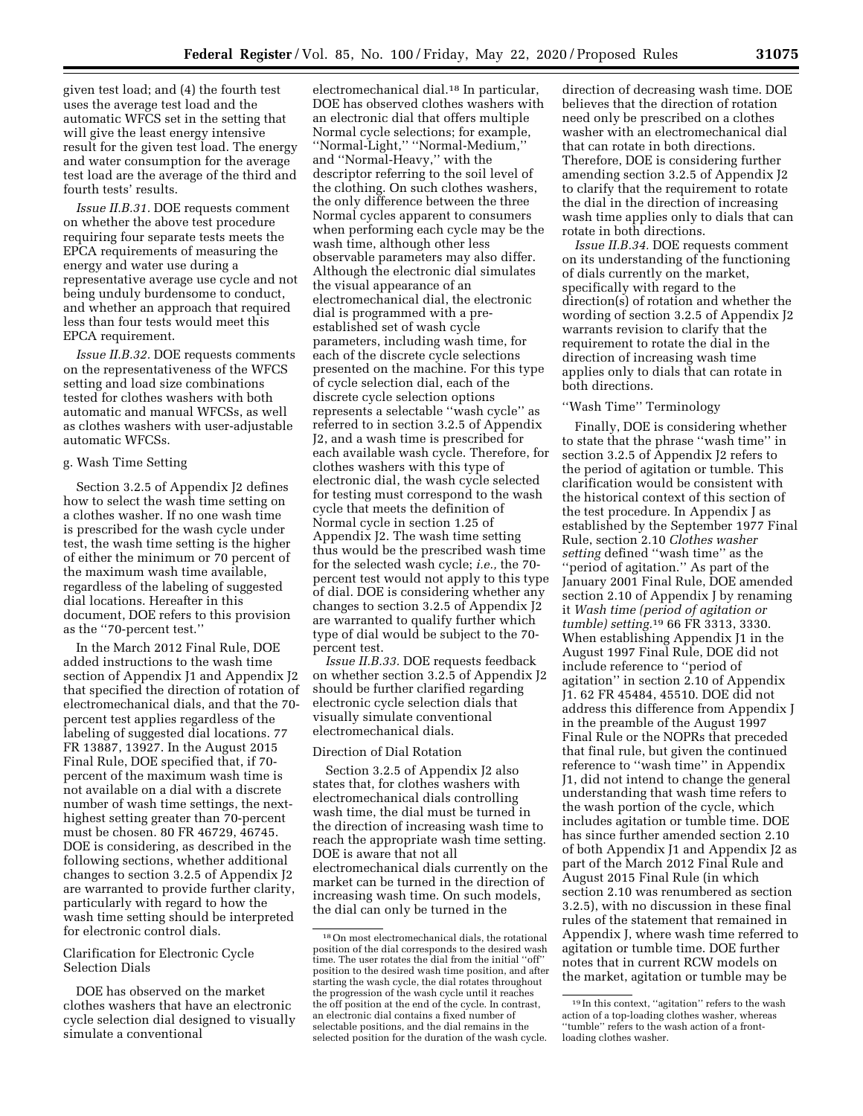given test load; and (4) the fourth test uses the average test load and the automatic WFCS set in the setting that will give the least energy intensive result for the given test load. The energy and water consumption for the average test load are the average of the third and fourth tests' results.

*Issue II.B.31.* DOE requests comment on whether the above test procedure requiring four separate tests meets the EPCA requirements of measuring the energy and water use during a representative average use cycle and not being unduly burdensome to conduct, and whether an approach that required less than four tests would meet this EPCA requirement.

*Issue II.B.32.* DOE requests comments on the representativeness of the WFCS setting and load size combinations tested for clothes washers with both automatic and manual WFCSs, as well as clothes washers with user-adjustable automatic WFCSs.

### g. Wash Time Setting

Section 3.2.5 of Appendix J2 defines how to select the wash time setting on a clothes washer. If no one wash time is prescribed for the wash cycle under test, the wash time setting is the higher of either the minimum or 70 percent of the maximum wash time available, regardless of the labeling of suggested dial locations. Hereafter in this document, DOE refers to this provision as the ''70-percent test.''

In the March 2012 Final Rule, DOE added instructions to the wash time section of Appendix J1 and Appendix J2 that specified the direction of rotation of electromechanical dials, and that the 70 percent test applies regardless of the labeling of suggested dial locations. 77 FR 13887, 13927. In the August 2015 Final Rule, DOE specified that, if 70 percent of the maximum wash time is not available on a dial with a discrete number of wash time settings, the nexthighest setting greater than 70-percent must be chosen. 80 FR 46729, 46745. DOE is considering, as described in the following sections, whether additional changes to section 3.2.5 of Appendix J2 are warranted to provide further clarity, particularly with regard to how the wash time setting should be interpreted for electronic control dials.

### Clarification for Electronic Cycle Selection Dials

DOE has observed on the market clothes washers that have an electronic cycle selection dial designed to visually simulate a conventional

electromechanical dial.18 In particular, DOE has observed clothes washers with an electronic dial that offers multiple Normal cycle selections; for example, ''Normal-Light,'' ''Normal-Medium,'' and ''Normal-Heavy,'' with the descriptor referring to the soil level of the clothing. On such clothes washers, the only difference between the three Normal cycles apparent to consumers when performing each cycle may be the wash time, although other less observable parameters may also differ. Although the electronic dial simulates the visual appearance of an electromechanical dial, the electronic dial is programmed with a preestablished set of wash cycle parameters, including wash time, for each of the discrete cycle selections presented on the machine. For this type of cycle selection dial, each of the discrete cycle selection options represents a selectable ''wash cycle'' as referred to in section 3.2.5 of Appendix J2, and a wash time is prescribed for each available wash cycle. Therefore, for clothes washers with this type of electronic dial, the wash cycle selected for testing must correspond to the wash cycle that meets the definition of Normal cycle in section 1.25 of Appendix J2. The wash time setting thus would be the prescribed wash time for the selected wash cycle; *i.e.,* the 70 percent test would not apply to this type of dial. DOE is considering whether any changes to section 3.2.5 of Appendix J2 are warranted to qualify further which type of dial would be subject to the 70 percent test.

*Issue II.B.33.* DOE requests feedback on whether section 3.2.5 of Appendix J2 should be further clarified regarding electronic cycle selection dials that visually simulate conventional electromechanical dials.

#### Direction of Dial Rotation

Section 3.2.5 of Appendix J2 also states that, for clothes washers with electromechanical dials controlling wash time, the dial must be turned in the direction of increasing wash time to reach the appropriate wash time setting. DOE is aware that not all electromechanical dials currently on the market can be turned in the direction of increasing wash time. On such models, the dial can only be turned in the

direction of decreasing wash time. DOE believes that the direction of rotation need only be prescribed on a clothes washer with an electromechanical dial that can rotate in both directions. Therefore, DOE is considering further amending section 3.2.5 of Appendix J2 to clarify that the requirement to rotate the dial in the direction of increasing wash time applies only to dials that can rotate in both directions.

*Issue II.B.34.* DOE requests comment on its understanding of the functioning of dials currently on the market, specifically with regard to the direction(s) of rotation and whether the wording of section 3.2.5 of Appendix J2 warrants revision to clarify that the requirement to rotate the dial in the direction of increasing wash time applies only to dials that can rotate in both directions.

## ''Wash Time'' Terminology

Finally, DOE is considering whether to state that the phrase ''wash time'' in section 3.2.5 of Appendix J2 refers to the period of agitation or tumble. This clarification would be consistent with the historical context of this section of the test procedure. In Appendix J as established by the September 1977 Final Rule, section 2.10 *Clothes washer setting* defined ''wash time'' as the ''period of agitation.'' As part of the January 2001 Final Rule, DOE amended section 2.10 of Appendix J by renaming it *Wash time (period of agitation or tumble) setting.*19 66 FR 3313, 3330. When establishing Appendix J1 in the August 1997 Final Rule, DOE did not include reference to ''period of agitation'' in section 2.10 of Appendix J1. 62 FR 45484, 45510. DOE did not address this difference from Appendix J in the preamble of the August 1997 Final Rule or the NOPRs that preceded that final rule, but given the continued reference to ''wash time'' in Appendix J1, did not intend to change the general understanding that wash time refers to the wash portion of the cycle, which includes agitation or tumble time. DOE has since further amended section 2.10 of both Appendix J1 and Appendix J2 as part of the March 2012 Final Rule and August 2015 Final Rule (in which section 2.10 was renumbered as section 3.2.5), with no discussion in these final rules of the statement that remained in Appendix J, where wash time referred to agitation or tumble time. DOE further notes that in current RCW models on the market, agitation or tumble may be

<sup>18</sup>On most electromechanical dials, the rotational position of the dial corresponds to the desired wash time. The user rotates the dial from the initial ''off'' position to the desired wash time position, and after starting the wash cycle, the dial rotates throughout the progression of the wash cycle until it reaches the off position at the end of the cycle. In contrast, an electronic dial contains a fixed number of selectable positions, and the dial remains in the selected position for the duration of the wash cycle.

<sup>19</sup> In this context, ''agitation'' refers to the wash action of a top-loading clothes washer, whereas ''tumble'' refers to the wash action of a frontloading clothes washer.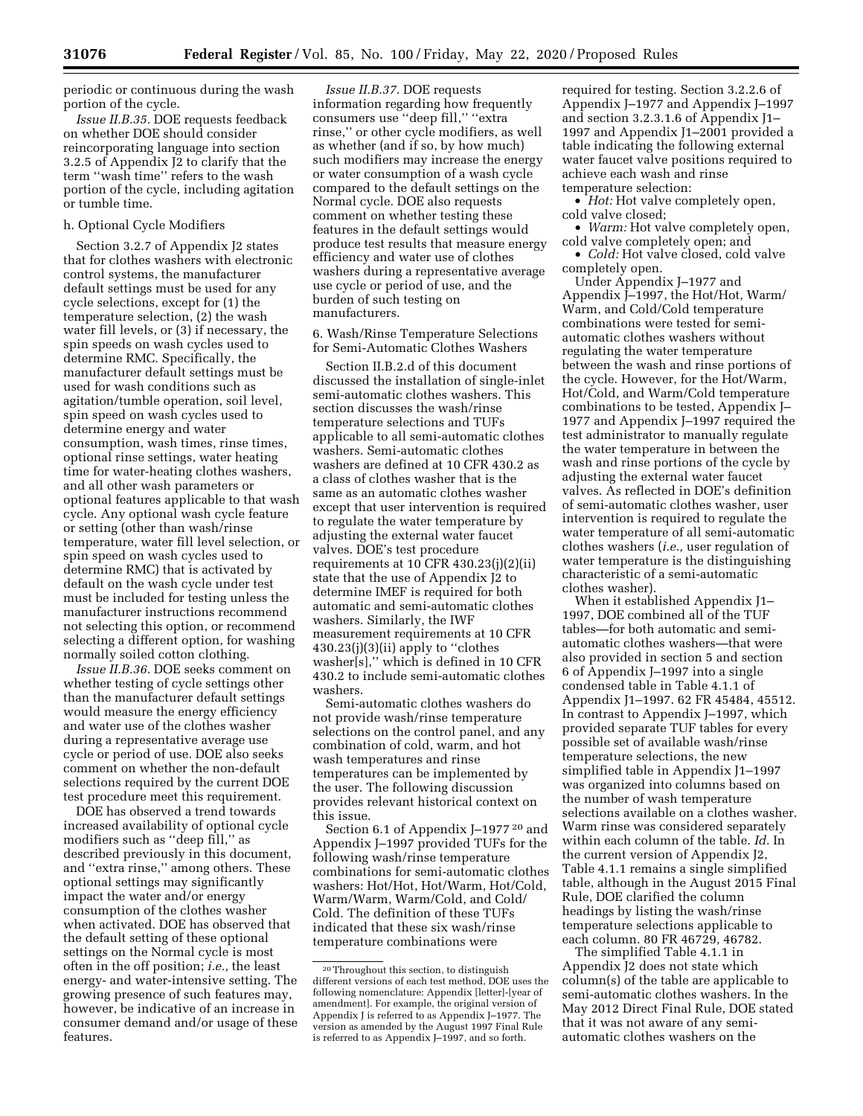periodic or continuous during the wash portion of the cycle.

*Issue II.B.35.* DOE requests feedback on whether DOE should consider reincorporating language into section 3.2.5 of Appendix J2 to clarify that the term ''wash time'' refers to the wash portion of the cycle, including agitation or tumble time.

#### h. Optional Cycle Modifiers

Section 3.2.7 of Appendix J2 states that for clothes washers with electronic control systems, the manufacturer default settings must be used for any cycle selections, except for (1) the temperature selection, (2) the wash water fill levels, or (3) if necessary, the spin speeds on wash cycles used to determine RMC. Specifically, the manufacturer default settings must be used for wash conditions such as agitation/tumble operation, soil level, spin speed on wash cycles used to determine energy and water consumption, wash times, rinse times, optional rinse settings, water heating time for water-heating clothes washers, and all other wash parameters or optional features applicable to that wash cycle. Any optional wash cycle feature or setting (other than wash/rinse temperature, water fill level selection, or spin speed on wash cycles used to determine RMC) that is activated by default on the wash cycle under test must be included for testing unless the manufacturer instructions recommend not selecting this option, or recommend selecting a different option, for washing normally soiled cotton clothing.

*Issue II.B.36.* DOE seeks comment on whether testing of cycle settings other than the manufacturer default settings would measure the energy efficiency and water use of the clothes washer during a representative average use cycle or period of use. DOE also seeks comment on whether the non-default selections required by the current DOE test procedure meet this requirement.

DOE has observed a trend towards increased availability of optional cycle modifiers such as ''deep fill,'' as described previously in this document, and ''extra rinse,'' among others. These optional settings may significantly impact the water and/or energy consumption of the clothes washer when activated. DOE has observed that the default setting of these optional settings on the Normal cycle is most often in the off position; *i.e.,* the least energy- and water-intensive setting. The growing presence of such features may, however, be indicative of an increase in consumer demand and/or usage of these features.

*Issue II.B.37.* DOE requests information regarding how frequently consumers use ''deep fill,'' ''extra rinse,'' or other cycle modifiers, as well as whether (and if so, by how much) such modifiers may increase the energy or water consumption of a wash cycle compared to the default settings on the Normal cycle. DOE also requests comment on whether testing these features in the default settings would produce test results that measure energy efficiency and water use of clothes washers during a representative average use cycle or period of use, and the burden of such testing on manufacturers.

6. Wash/Rinse Temperature Selections for Semi-Automatic Clothes Washers

Section II.B.2.d of this document discussed the installation of single-inlet semi-automatic clothes washers. This section discusses the wash/rinse temperature selections and TUFs applicable to all semi-automatic clothes washers. Semi-automatic clothes washers are defined at 10 CFR 430.2 as a class of clothes washer that is the same as an automatic clothes washer except that user intervention is required to regulate the water temperature by adjusting the external water faucet valves. DOE's test procedure requirements at 10 CFR 430.23(j)(2)(ii) state that the use of Appendix J2 to determine IMEF is required for both automatic and semi-automatic clothes washers. Similarly, the IWF measurement requirements at 10 CFR 430.23(j)(3)(ii) apply to ''clothes washer[s],'' which is defined in 10 CFR 430.2 to include semi-automatic clothes washers.

Semi-automatic clothes washers do not provide wash/rinse temperature selections on the control panel, and any combination of cold, warm, and hot wash temperatures and rinse temperatures can be implemented by the user. The following discussion provides relevant historical context on this issue.

Section 6.1 of Appendix J–1977 20 and Appendix J–1997 provided TUFs for the following wash/rinse temperature combinations for semi-automatic clothes washers: Hot/Hot, Hot/Warm, Hot/Cold, Warm/Warm, Warm/Cold, and Cold/ Cold. The definition of these TUFs indicated that these six wash/rinse temperature combinations were

required for testing. Section 3.2.2.6 of Appendix J–1977 and Appendix J–1997 and section 3.2.3.1.6 of Appendix J1– 1997 and Appendix J1–2001 provided a table indicating the following external water faucet valve positions required to achieve each wash and rinse temperature selection:

• *Hot:* Hot valve completely open, cold valve closed;

• *Warm:* Hot valve completely open, cold valve completely open; and

• *Cold:* Hot valve closed, cold valve completely open.

Under Appendix J–1977 and Appendix J–1997, the Hot/Hot, Warm/ Warm, and Cold/Cold temperature combinations were tested for semiautomatic clothes washers without regulating the water temperature between the wash and rinse portions of the cycle. However, for the Hot/Warm, Hot/Cold, and Warm/Cold temperature combinations to be tested, Appendix J– 1977 and Appendix J–1997 required the test administrator to manually regulate the water temperature in between the wash and rinse portions of the cycle by adjusting the external water faucet valves. As reflected in DOE's definition of semi-automatic clothes washer, user intervention is required to regulate the water temperature of all semi-automatic clothes washers (*i.e.,* user regulation of water temperature is the distinguishing characteristic of a semi-automatic clothes washer).

When it established Appendix J1– 1997, DOE combined all of the TUF tables—for both automatic and semiautomatic clothes washers—that were also provided in section 5 and section 6 of Appendix J–1997 into a single condensed table in Table 4.1.1 of Appendix J1–1997. 62 FR 45484, 45512. In contrast to Appendix J–1997, which provided separate TUF tables for every possible set of available wash/rinse temperature selections, the new simplified table in Appendix J1–1997 was organized into columns based on the number of wash temperature selections available on a clothes washer. Warm rinse was considered separately within each column of the table. *Id.* In the current version of Appendix J2, Table 4.1.1 remains a single simplified table, although in the August 2015 Final Rule, DOE clarified the column headings by listing the wash/rinse temperature selections applicable to each column. 80 FR 46729, 46782.

The simplified Table 4.1.1 in Appendix J2 does not state which column(s) of the table are applicable to semi-automatic clothes washers. In the May 2012 Direct Final Rule, DOE stated that it was not aware of any semiautomatic clothes washers on the

<sup>20</sup>Throughout this section, to distinguish different versions of each test method, DOE uses the following nomenclature: Appendix [letter]-[year of amendment]. For example, the original version of Appendix J is referred to as Appendix J–1977. The version as amended by the August 1997 Final Rule is referred to as Appendix J–1997, and so forth.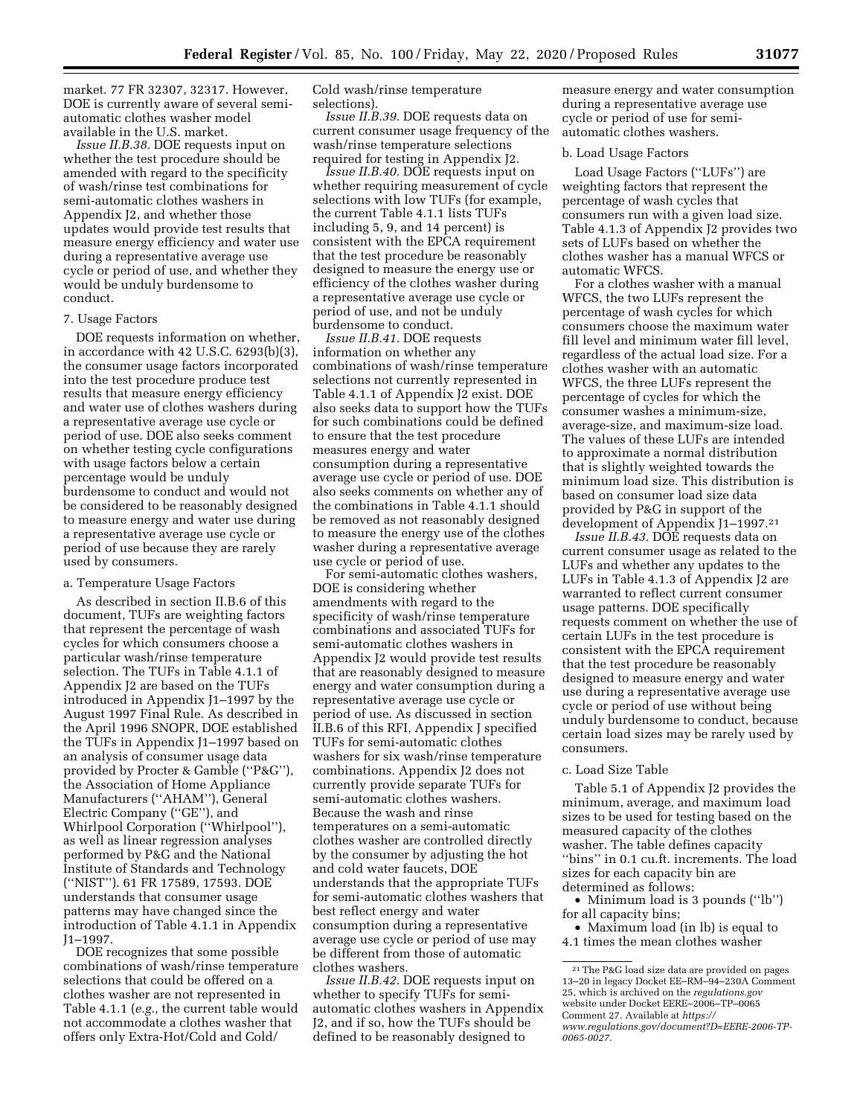market. 77 FR 32307, 32317. However, DOE is currently aware of several semiautomatic clothes washer model available in the U.S. market.

*Issue II.B.38.* DOE requests input on whether the test procedure should be amended with regard to the specificity of wash/rinse test combinations for semi-automatic clothes washers in Appendix J2, and whether those updates would provide test results that measure energy efficiency and water use during a representative average use cycle or period of use, and whether they would be unduly burdensome to conduct.

#### 7. Usage Factors

DOE requests information on whether, in accordance with 42 U.S.C. 6293(b)(3), the consumer usage factors incorporated into the test procedure produce test results that measure energy efficiency and water use of clothes washers during a representative average use cycle or period of use. DOE also seeks comment on whether testing cycle configurations with usage factors below a certain percentage would be unduly burdensome to conduct and would not be considered to be reasonably designed to measure energy and water use during a representative average use cycle or period of use because they are rarely used by consumers.

#### a. Temperature Usage Factors

As described in section II.B.6 of this document, TUFs are weighting factors that represent the percentage of wash cycles for which consumers choose a particular wash/rinse temperature selection. The TUFs in Table 4.1.1 of Appendix J2 are based on the TUFs introduced in Appendix J1–1997 by the August 1997 Final Rule. As described in the April 1996 SNOPR, DOE established the TUFs in Appendix J1–1997 based on an analysis of consumer usage data provided by Procter & Gamble (''P&G''), the Association of Home Appliance Manufacturers (''AHAM''), General Electric Company (''GE''), and Whirlpool Corporation (''Whirlpool''), as well as linear regression analyses performed by P&G and the National Institute of Standards and Technology (''NIST''). 61 FR 17589, 17593. DOE understands that consumer usage patterns may have changed since the introduction of Table 4.1.1 in Appendix J1–1997.

DOE recognizes that some possible combinations of wash/rinse temperature selections that could be offered on a clothes washer are not represented in Table 4.1.1 (*e.g.,* the current table would not accommodate a clothes washer that offers only Extra-Hot/Cold and Cold/

Cold wash/rinse temperature selections).

*Issue II.B.39.* DOE requests data on current consumer usage frequency of the wash/rinse temperature selections required for testing in Appendix J2.

*Issue II.B.40.* DOE requests input on whether requiring measurement of cycle selections with low TUFs (for example, the current Table 4.1.1 lists TUFs including 5, 9, and 14 percent) is consistent with the EPCA requirement that the test procedure be reasonably designed to measure the energy use or efficiency of the clothes washer during a representative average use cycle or period of use, and not be unduly burdensome to conduct.

*Issue II.B.41.* DOE requests information on whether any combinations of wash/rinse temperature selections not currently represented in Table 4.1.1 of Appendix J2 exist. DOE also seeks data to support how the TUFs for such combinations could be defined to ensure that the test procedure measures energy and water consumption during a representative average use cycle or period of use. DOE also seeks comments on whether any of the combinations in Table 4.1.1 should be removed as not reasonably designed to measure the energy use of the clothes washer during a representative average use cycle or period of use.

For semi-automatic clothes washers, DOE is considering whether amendments with regard to the specificity of wash/rinse temperature combinations and associated TUFs for semi-automatic clothes washers in Appendix J2 would provide test results that are reasonably designed to measure energy and water consumption during a representative average use cycle or period of use. As discussed in section II.B.6 of this RFI, Appendix J specified TUFs for semi-automatic clothes washers for six wash/rinse temperature combinations. Appendix J2 does not currently provide separate TUFs for semi-automatic clothes washers. Because the wash and rinse temperatures on a semi-automatic clothes washer are controlled directly by the consumer by adjusting the hot and cold water faucets, DOE understands that the appropriate TUFs for semi-automatic clothes washers that best reflect energy and water consumption during a representative average use cycle or period of use may be different from those of automatic clothes washers.

*Issue II.B.42.* DOE requests input on whether to specify TUFs for semiautomatic clothes washers in Appendix J2, and if so, how the TUFs should be defined to be reasonably designed to

measure energy and water consumption during a representative average use cycle or period of use for semiautomatic clothes washers.

#### b. Load Usage Factors

Load Usage Factors (''LUFs'') are weighting factors that represent the percentage of wash cycles that consumers run with a given load size. Table 4.1.3 of Appendix J2 provides two sets of LUFs based on whether the clothes washer has a manual WFCS or automatic WFCS.

For a clothes washer with a manual WFCS, the two LUFs represent the percentage of wash cycles for which consumers choose the maximum water fill level and minimum water fill level, regardless of the actual load size. For a clothes washer with an automatic WFCS, the three LUFs represent the percentage of cycles for which the consumer washes a minimum-size, average-size, and maximum-size load. The values of these LUFs are intended to approximate a normal distribution that is slightly weighted towards the minimum load size. This distribution is based on consumer load size data provided by P&G in support of the development of Appendix J1–1997.21

*Issue II.B.43.* DOE requests data on current consumer usage as related to the LUFs and whether any updates to the LUFs in Table 4.1.3 of Appendix J2 are warranted to reflect current consumer usage patterns. DOE specifically requests comment on whether the use of certain LUFs in the test procedure is consistent with the EPCA requirement that the test procedure be reasonably designed to measure energy and water use during a representative average use cycle or period of use without being unduly burdensome to conduct, because certain load sizes may be rarely used by consumers.

#### c. Load Size Table

Table 5.1 of Appendix J2 provides the minimum, average, and maximum load sizes to be used for testing based on the measured capacity of the clothes washer. The table defines capacity ''bins'' in 0.1 cu.ft. increments. The load sizes for each capacity bin are determined as follows:

• Minimum load is 3 pounds ("lb") for all capacity bins;

• Maximum load (in lb) is equal to 4.1 times the mean clothes washer

<sup>21</sup>The P&G load size data are provided on pages 13–20 in legacy Docket EE–RM–94–230A Comment 25, which is archived on the *regulations.gov*  website under Docket EERE–2006–TP–0065 Comment 27. Available at *[https://](https://www.regulations.gov/document?D=EERE-2006-TP-0065-0027) [www.regulations.gov/document?D=EERE-2006-TP-](https://www.regulations.gov/document?D=EERE-2006-TP-0065-0027)[0065-0027.](https://www.regulations.gov/document?D=EERE-2006-TP-0065-0027)*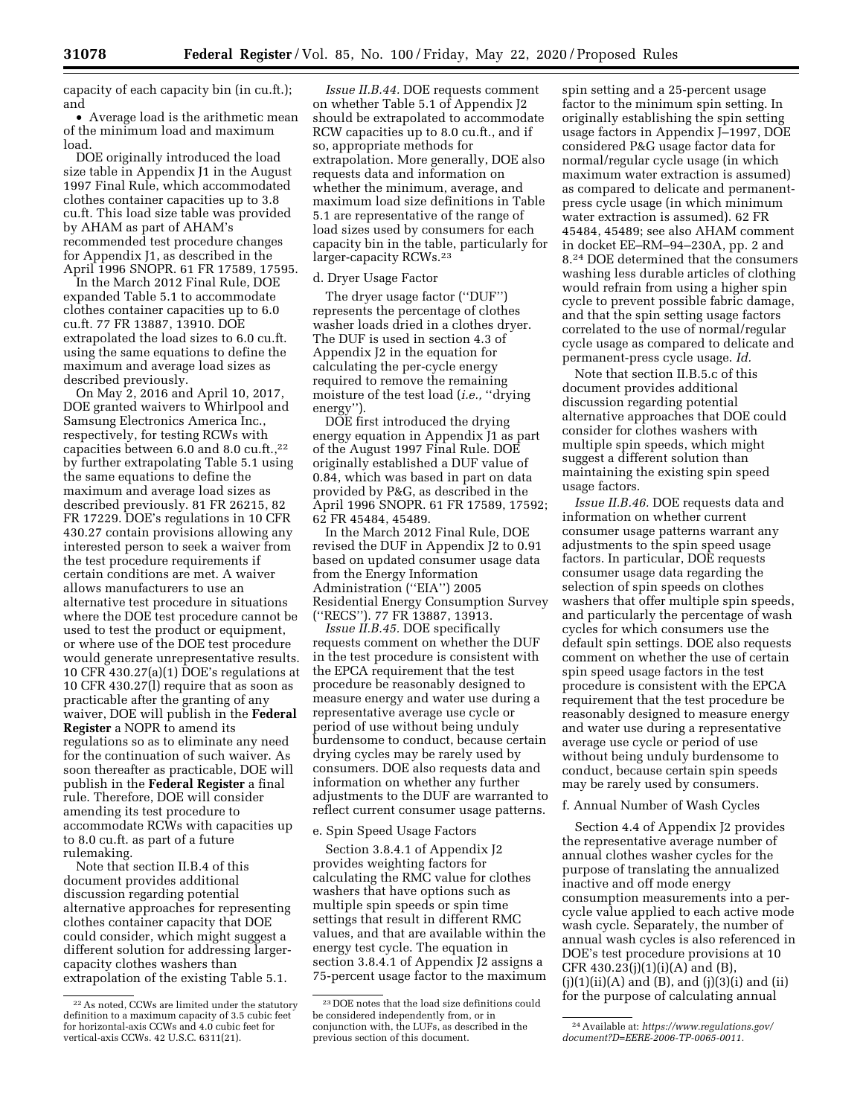capacity of each capacity bin (in cu.ft.); and

• Average load is the arithmetic mean of the minimum load and maximum load.

DOE originally introduced the load size table in Appendix J1 in the August 1997 Final Rule, which accommodated clothes container capacities up to 3.8 cu.ft. This load size table was provided by AHAM as part of AHAM's recommended test procedure changes for Appendix J1, as described in the April 1996 SNOPR. 61 FR 17589, 17595.

In the March 2012 Final Rule, DOE expanded Table 5.1 to accommodate clothes container capacities up to 6.0 cu.ft. 77 FR 13887, 13910. DOE extrapolated the load sizes to 6.0 cu.ft. using the same equations to define the maximum and average load sizes as described previously.

On May 2, 2016 and April 10, 2017, DOE granted waivers to Whirlpool and Samsung Electronics America Inc., respectively, for testing RCWs with capacities between 6.0 and 8.0 cu.ft.,<sup>22</sup> by further extrapolating Table 5.1 using the same equations to define the maximum and average load sizes as described previously. 81 FR 26215, 82 FR 17229. DOE's regulations in 10 CFR 430.27 contain provisions allowing any interested person to seek a waiver from the test procedure requirements if certain conditions are met. A waiver allows manufacturers to use an alternative test procedure in situations where the DOE test procedure cannot be used to test the product or equipment, or where use of the DOE test procedure would generate unrepresentative results. 10 CFR 430.27(a)(1) DOE's regulations at 10 CFR 430.27(l) require that as soon as practicable after the granting of any waiver, DOE will publish in the **Federal Register** a NOPR to amend its regulations so as to eliminate any need for the continuation of such waiver. As soon thereafter as practicable, DOE will publish in the **Federal Register** a final rule. Therefore, DOE will consider amending its test procedure to accommodate RCWs with capacities up to 8.0 cu.ft. as part of a future rulemaking.

Note that section II.B.4 of this document provides additional discussion regarding potential alternative approaches for representing clothes container capacity that DOE could consider, which might suggest a different solution for addressing largercapacity clothes washers than extrapolation of the existing Table 5.1.

*Issue II.B.44.* DOE requests comment on whether Table 5.1 of Appendix J2 should be extrapolated to accommodate RCW capacities up to 8.0 cu.ft., and if so, appropriate methods for extrapolation. More generally, DOE also requests data and information on whether the minimum, average, and maximum load size definitions in Table 5.1 are representative of the range of load sizes used by consumers for each capacity bin in the table, particularly for larger-capacity RCWs.23

#### d. Dryer Usage Factor

The dryer usage factor (''DUF'') represents the percentage of clothes washer loads dried in a clothes dryer. The DUF is used in section 4.3 of Appendix J2 in the equation for calculating the per-cycle energy required to remove the remaining moisture of the test load (*i.e.*, "drying energy'').

DOE first introduced the drying energy equation in Appendix J1 as part of the August 1997 Final Rule. DOE originally established a DUF value of 0.84, which was based in part on data provided by P&G, as described in the April 1996 SNOPR. 61 FR 17589, 17592; 62 FR 45484, 45489.

In the March 2012 Final Rule, DOE revised the DUF in Appendix J2 to 0.91 based on updated consumer usage data from the Energy Information Administration (''EIA'') 2005 Residential Energy Consumption Survey (''RECS''). 77 FR 13887, 13913.

*Issue II.B.45.* DOE specifically requests comment on whether the DUF in the test procedure is consistent with the EPCA requirement that the test procedure be reasonably designed to measure energy and water use during a representative average use cycle or period of use without being unduly burdensome to conduct, because certain drying cycles may be rarely used by consumers. DOE also requests data and information on whether any further adjustments to the DUF are warranted to reflect current consumer usage patterns.

# e. Spin Speed Usage Factors

Section 3.8.4.1 of Appendix J2 provides weighting factors for calculating the RMC value for clothes washers that have options such as multiple spin speeds or spin time settings that result in different RMC values, and that are available within the energy test cycle. The equation in section 3.8.4.1 of Appendix J2 assigns a 75-percent usage factor to the maximum

spin setting and a 25-percent usage factor to the minimum spin setting. In originally establishing the spin setting usage factors in Appendix J–1997, DOE considered P&G usage factor data for normal/regular cycle usage (in which maximum water extraction is assumed) as compared to delicate and permanentpress cycle usage (in which minimum water extraction is assumed). 62 FR 45484, 45489; see also AHAM comment in docket EE–RM–94–230A, pp. 2 and 8.24 DOE determined that the consumers washing less durable articles of clothing would refrain from using a higher spin cycle to prevent possible fabric damage, and that the spin setting usage factors correlated to the use of normal/regular cycle usage as compared to delicate and permanent-press cycle usage. *Id.* 

Note that section II.B.5.c of this document provides additional discussion regarding potential alternative approaches that DOE could consider for clothes washers with multiple spin speeds, which might suggest a different solution than maintaining the existing spin speed usage factors.

*Issue II.B.46.* DOE requests data and information on whether current consumer usage patterns warrant any adjustments to the spin speed usage factors. In particular, DOE requests consumer usage data regarding the selection of spin speeds on clothes washers that offer multiple spin speeds, and particularly the percentage of wash cycles for which consumers use the default spin settings. DOE also requests comment on whether the use of certain spin speed usage factors in the test procedure is consistent with the EPCA requirement that the test procedure be reasonably designed to measure energy and water use during a representative average use cycle or period of use without being unduly burdensome to conduct, because certain spin speeds may be rarely used by consumers.

#### f. Annual Number of Wash Cycles

Section 4.4 of Appendix J2 provides the representative average number of annual clothes washer cycles for the purpose of translating the annualized inactive and off mode energy consumption measurements into a percycle value applied to each active mode wash cycle. Separately, the number of annual wash cycles is also referenced in DOE's test procedure provisions at 10 CFR 430.23(j)(1)(i)(A) and (B),  $(j)(1)(ii)(A)$  and  $(B)$ , and  $(j)(3)(i)$  and  $(ii)$ for the purpose of calculating annual

<sup>22</sup>As noted, CCWs are limited under the statutory definition to a maximum capacity of 3.5 cubic feet for horizontal-axis CCWs and 4.0 cubic feet for vertical-axis CCWs. 42 U.S.C. 6311(21).

<sup>23</sup> DOE notes that the load size definitions could be considered independently from, or in conjunction with, the LUFs, as described in the previous section of this document.

<sup>24</sup>Available at: *[https://www.regulations.gov/](https://www.regulations.gov/document?D=EERE-2006-TP-0065-0011)  [document?D=EERE-2006-TP-0065-0011.](https://www.regulations.gov/document?D=EERE-2006-TP-0065-0011)*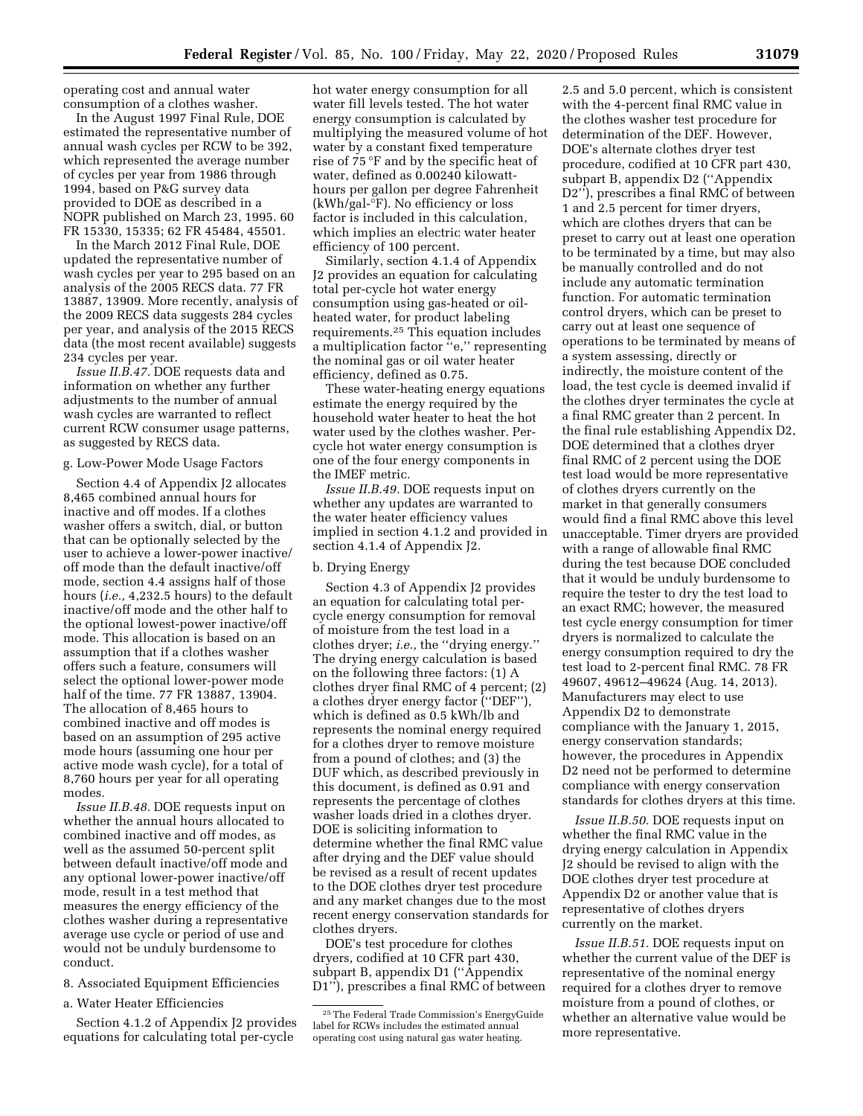operating cost and annual water consumption of a clothes washer.

In the August 1997 Final Rule, DOE estimated the representative number of annual wash cycles per RCW to be 392, which represented the average number of cycles per year from 1986 through 1994, based on P&G survey data provided to DOE as described in a NOPR published on March 23, 1995. 60 FR 15330, 15335; 62 FR 45484, 45501.

In the March 2012 Final Rule, DOE updated the representative number of wash cycles per year to 295 based on an analysis of the 2005 RECS data. 77 FR 13887, 13909. More recently, analysis of the 2009 RECS data suggests 284 cycles per year, and analysis of the 2015 RECS data (the most recent available) suggests 234 cycles per year.

*Issue II.B.47.* DOE requests data and information on whether any further adjustments to the number of annual wash cycles are warranted to reflect current RCW consumer usage patterns, as suggested by RECS data.

### g. Low-Power Mode Usage Factors

Section 4.4 of Appendix J2 allocates 8,465 combined annual hours for inactive and off modes. If a clothes washer offers a switch, dial, or button that can be optionally selected by the user to achieve a lower-power inactive/ off mode than the default inactive/off mode, section 4.4 assigns half of those hours (*i.e.,* 4,232.5 hours) to the default inactive/off mode and the other half to the optional lowest-power inactive/off mode. This allocation is based on an assumption that if a clothes washer offers such a feature, consumers will select the optional lower-power mode half of the time. 77 FR 13887, 13904. The allocation of 8,465 hours to combined inactive and off modes is based on an assumption of 295 active mode hours (assuming one hour per active mode wash cycle), for a total of 8,760 hours per year for all operating modes.

*Issue II.B.48.* DOE requests input on whether the annual hours allocated to combined inactive and off modes, as well as the assumed 50-percent split between default inactive/off mode and any optional lower-power inactive/off mode, result in a test method that measures the energy efficiency of the clothes washer during a representative average use cycle or period of use and would not be unduly burdensome to conduct.

8. Associated Equipment Efficiencies

a. Water Heater Efficiencies

Section 4.1.2 of Appendix J2 provides equations for calculating total per-cycle

hot water energy consumption for all water fill levels tested. The hot water energy consumption is calculated by multiplying the measured volume of hot water by a constant fixed temperature rise of 75 °F and by the specific heat of water, defined as 0.00240 kilowatthours per gallon per degree Fahrenheit (kWh/gal-°F). No efficiency or loss factor is included in this calculation, which implies an electric water heater efficiency of 100 percent.

Similarly, section 4.1.4 of Appendix J2 provides an equation for calculating total per-cycle hot water energy consumption using gas-heated or oilheated water, for product labeling requirements.25 This equation includes a multiplication factor ''e,'' representing the nominal gas or oil water heater efficiency, defined as 0.75.

These water-heating energy equations estimate the energy required by the household water heater to heat the hot water used by the clothes washer. Percycle hot water energy consumption is one of the four energy components in the IMEF metric.

*Issue II.B.49.* DOE requests input on whether any updates are warranted to the water heater efficiency values implied in section 4.1.2 and provided in section 4.1.4 of Appendix J2.

#### b. Drying Energy

Section 4.3 of Appendix J2 provides an equation for calculating total percycle energy consumption for removal of moisture from the test load in a clothes dryer; *i.e.,* the ''drying energy.'' The drying energy calculation is based on the following three factors: (1) A clothes dryer final RMC of 4 percent; (2) a clothes dryer energy factor (''DEF''), which is defined as 0.5 kWh/lb and represents the nominal energy required for a clothes dryer to remove moisture from a pound of clothes; and (3) the DUF which, as described previously in this document, is defined as 0.91 and represents the percentage of clothes washer loads dried in a clothes dryer. DOE is soliciting information to determine whether the final RMC value after drying and the DEF value should be revised as a result of recent updates to the DOE clothes dryer test procedure and any market changes due to the most recent energy conservation standards for clothes dryers.

DOE's test procedure for clothes dryers, codified at 10 CFR part 430, subpart B, appendix D1 (''Appendix D1"), prescribes a final RMC of between

2.5 and 5.0 percent, which is consistent with the 4-percent final RMC value in the clothes washer test procedure for determination of the DEF. However, DOE's alternate clothes dryer test procedure, codified at 10 CFR part 430, subpart B, appendix D2 (''Appendix D2''), prescribes a final RMC of between 1 and 2.5 percent for timer dryers, which are clothes dryers that can be preset to carry out at least one operation to be terminated by a time, but may also be manually controlled and do not include any automatic termination function. For automatic termination control dryers, which can be preset to carry out at least one sequence of operations to be terminated by means of a system assessing, directly or indirectly, the moisture content of the load, the test cycle is deemed invalid if the clothes dryer terminates the cycle at a final RMC greater than 2 percent. In the final rule establishing Appendix D2, DOE determined that a clothes dryer final RMC of 2 percent using the DOE test load would be more representative of clothes dryers currently on the market in that generally consumers would find a final RMC above this level unacceptable. Timer dryers are provided with a range of allowable final RMC during the test because DOE concluded that it would be unduly burdensome to require the tester to dry the test load to an exact RMC; however, the measured test cycle energy consumption for timer dryers is normalized to calculate the energy consumption required to dry the test load to 2-percent final RMC. 78 FR 49607, 49612–49624 (Aug. 14, 2013). Manufacturers may elect to use Appendix D2 to demonstrate compliance with the January 1, 2015, energy conservation standards; however, the procedures in Appendix D2 need not be performed to determine compliance with energy conservation standards for clothes dryers at this time.

*Issue II.B.50.* DOE requests input on whether the final RMC value in the drying energy calculation in Appendix J2 should be revised to align with the DOE clothes dryer test procedure at Appendix D2 or another value that is representative of clothes dryers currently on the market.

*Issue II.B.51.* DOE requests input on whether the current value of the DEF is representative of the nominal energy required for a clothes dryer to remove moisture from a pound of clothes, or whether an alternative value would be more representative.

<sup>25</sup>The Federal Trade Commission's EnergyGuide label for RCWs includes the estimated annual operating cost using natural gas water heating.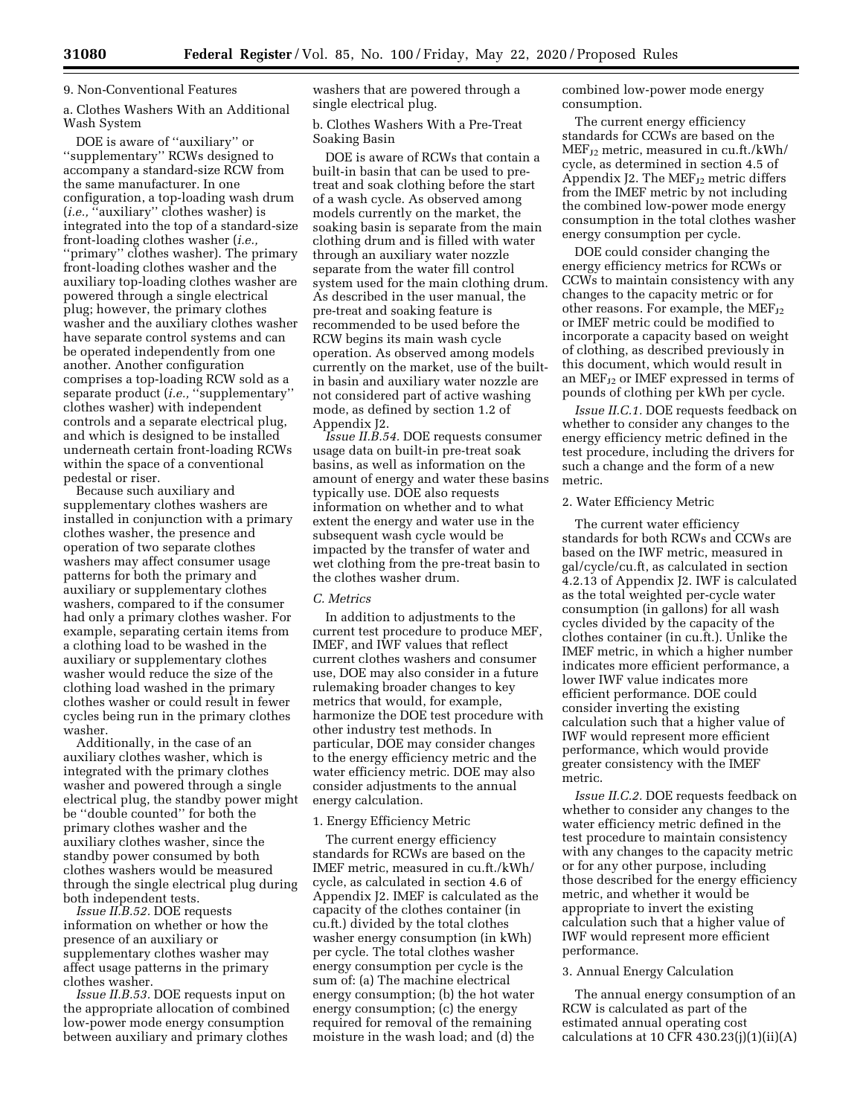#### 9. Non-Conventional Features

a. Clothes Washers With an Additional Wash System

DOE is aware of ''auxiliary'' or ''supplementary'' RCWs designed to accompany a standard-size RCW from the same manufacturer. In one configuration, a top-loading wash drum (*i.e.*, <sup>*c*</sup>'auxiliary'' clothes washer) is integrated into the top of a standard-size front-loading clothes washer (*i.e.,*  ''primary'' clothes washer). The primary front-loading clothes washer and the auxiliary top-loading clothes washer are powered through a single electrical plug; however, the primary clothes washer and the auxiliary clothes washer have separate control systems and can be operated independently from one another. Another configuration comprises a top-loading RCW sold as a separate product (*i.e.*, "supplementary" clothes washer) with independent controls and a separate electrical plug, and which is designed to be installed underneath certain front-loading RCWs within the space of a conventional pedestal or riser.

Because such auxiliary and supplementary clothes washers are installed in conjunction with a primary clothes washer, the presence and operation of two separate clothes washers may affect consumer usage patterns for both the primary and auxiliary or supplementary clothes washers, compared to if the consumer had only a primary clothes washer. For example, separating certain items from a clothing load to be washed in the auxiliary or supplementary clothes washer would reduce the size of the clothing load washed in the primary clothes washer or could result in fewer cycles being run in the primary clothes washer.

Additionally, in the case of an auxiliary clothes washer, which is integrated with the primary clothes washer and powered through a single electrical plug, the standby power might be ''double counted'' for both the primary clothes washer and the auxiliary clothes washer, since the standby power consumed by both clothes washers would be measured through the single electrical plug during both independent tests.

*Issue II.B.52.* DOE requests information on whether or how the presence of an auxiliary or supplementary clothes washer may affect usage patterns in the primary clothes washer.

*Issue II.B.53.* DOE requests input on the appropriate allocation of combined low-power mode energy consumption between auxiliary and primary clothes

washers that are powered through a single electrical plug.

b. Clothes Washers With a Pre-Treat Soaking Basin

DOE is aware of RCWs that contain a built-in basin that can be used to pretreat and soak clothing before the start of a wash cycle. As observed among models currently on the market, the soaking basin is separate from the main clothing drum and is filled with water through an auxiliary water nozzle separate from the water fill control system used for the main clothing drum. As described in the user manual, the pre-treat and soaking feature is recommended to be used before the RCW begins its main wash cycle operation. As observed among models currently on the market, use of the builtin basin and auxiliary water nozzle are not considered part of active washing mode, as defined by section 1.2 of Appendix J2.

*Issue II.B.54.* DOE requests consumer usage data on built-in pre-treat soak basins, as well as information on the amount of energy and water these basins typically use. DOE also requests information on whether and to what extent the energy and water use in the subsequent wash cycle would be impacted by the transfer of water and wet clothing from the pre-treat basin to the clothes washer drum.

### *C. Metrics*

In addition to adjustments to the current test procedure to produce MEF, IMEF, and IWF values that reflect current clothes washers and consumer use, DOE may also consider in a future rulemaking broader changes to key metrics that would, for example, harmonize the DOE test procedure with other industry test methods. In particular, DOE may consider changes to the energy efficiency metric and the water efficiency metric. DOE may also consider adjustments to the annual energy calculation.

#### 1. Energy Efficiency Metric

The current energy efficiency standards for RCWs are based on the IMEF metric, measured in cu.ft./kWh/ cycle, as calculated in section 4.6 of Appendix J2. IMEF is calculated as the capacity of the clothes container (in cu.ft.) divided by the total clothes washer energy consumption (in kWh) per cycle. The total clothes washer energy consumption per cycle is the sum of: (a) The machine electrical energy consumption; (b) the hot water energy consumption; (c) the energy required for removal of the remaining moisture in the wash load; and (d) the

combined low-power mode energy consumption.

The current energy efficiency standards for CCWs are based on the  $MEF_{12}$  metric, measured in cu.ft./kWh/ cycle, as determined in section 4.5 of Appendix J2. The  $MEF_{J2}$  metric differs from the IMEF metric by not including the combined low-power mode energy consumption in the total clothes washer energy consumption per cycle.

DOE could consider changing the energy efficiency metrics for RCWs or CCWs to maintain consistency with any changes to the capacity metric or for other reasons. For example, the  $MEF_{J2}$ or IMEF metric could be modified to incorporate a capacity based on weight of clothing, as described previously in this document, which would result in an MEF $_{J2}$  or IMEF expressed in terms of pounds of clothing per kWh per cycle.

*Issue II.C.1.* DOE requests feedback on whether to consider any changes to the energy efficiency metric defined in the test procedure, including the drivers for such a change and the form of a new metric.

### 2. Water Efficiency Metric

The current water efficiency standards for both RCWs and CCWs are based on the IWF metric, measured in gal/cycle/cu.ft, as calculated in section 4.2.13 of Appendix J2. IWF is calculated as the total weighted per-cycle water consumption (in gallons) for all wash cycles divided by the capacity of the clothes container (in cu.ft.). Unlike the IMEF metric, in which a higher number indicates more efficient performance, a lower IWF value indicates more efficient performance. DOE could consider inverting the existing calculation such that a higher value of IWF would represent more efficient performance, which would provide greater consistency with the IMEF metric.

*Issue II.C.2.* DOE requests feedback on whether to consider any changes to the water efficiency metric defined in the test procedure to maintain consistency with any changes to the capacity metric or for any other purpose, including those described for the energy efficiency metric, and whether it would be appropriate to invert the existing calculation such that a higher value of IWF would represent more efficient performance.

#### 3. Annual Energy Calculation

The annual energy consumption of an RCW is calculated as part of the estimated annual operating cost calculations at 10 CFR  $430.23(j)(1)(ii)(A)$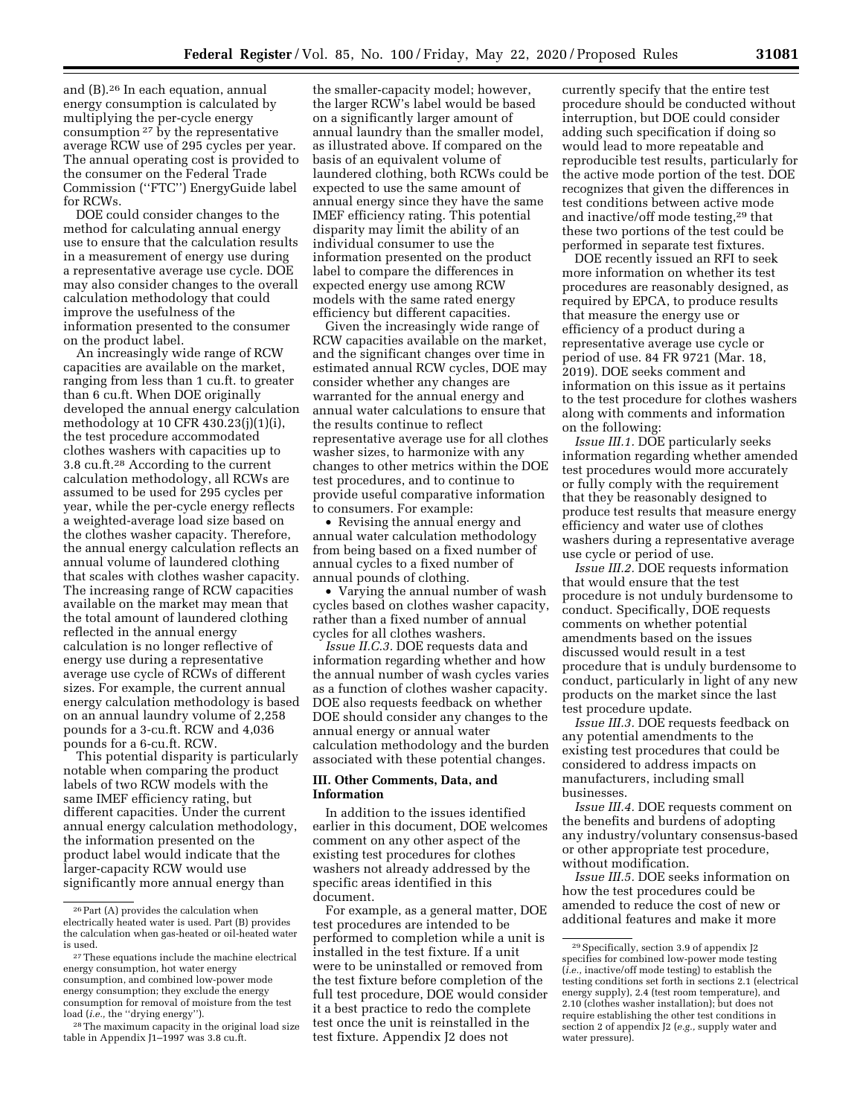and (B).26 In each equation, annual energy consumption is calculated by multiplying the per-cycle energy consumption 27 by the representative average RCW use of 295 cycles per year. The annual operating cost is provided to the consumer on the Federal Trade Commission (''FTC'') EnergyGuide label for RCWs.

DOE could consider changes to the method for calculating annual energy use to ensure that the calculation results in a measurement of energy use during a representative average use cycle. DOE may also consider changes to the overall calculation methodology that could improve the usefulness of the information presented to the consumer on the product label.

An increasingly wide range of RCW capacities are available on the market, ranging from less than 1 cu.ft. to greater than 6 cu.ft. When DOE originally developed the annual energy calculation methodology at 10 CFR 430.23(j)(1)(i), the test procedure accommodated clothes washers with capacities up to 3.8 cu.ft.28 According to the current calculation methodology, all RCWs are assumed to be used for 295 cycles per year, while the per-cycle energy reflects a weighted-average load size based on the clothes washer capacity. Therefore, the annual energy calculation reflects an annual volume of laundered clothing that scales with clothes washer capacity. The increasing range of RCW capacities available on the market may mean that the total amount of laundered clothing reflected in the annual energy calculation is no longer reflective of energy use during a representative average use cycle of RCWs of different sizes. For example, the current annual energy calculation methodology is based on an annual laundry volume of 2,258 pounds for a 3-cu.ft. RCW and 4,036 pounds for a 6-cu.ft. RCW.

This potential disparity is particularly notable when comparing the product labels of two RCW models with the same IMEF efficiency rating, but different capacities. Under the current annual energy calculation methodology, the information presented on the product label would indicate that the larger-capacity RCW would use significantly more annual energy than

the smaller-capacity model; however, the larger RCW's label would be based on a significantly larger amount of annual laundry than the smaller model, as illustrated above. If compared on the basis of an equivalent volume of laundered clothing, both RCWs could be expected to use the same amount of annual energy since they have the same IMEF efficiency rating. This potential disparity may limit the ability of an individual consumer to use the information presented on the product label to compare the differences in expected energy use among RCW models with the same rated energy efficiency but different capacities.

Given the increasingly wide range of RCW capacities available on the market, and the significant changes over time in estimated annual RCW cycles, DOE may consider whether any changes are warranted for the annual energy and annual water calculations to ensure that the results continue to reflect representative average use for all clothes washer sizes, to harmonize with any changes to other metrics within the DOE test procedures, and to continue to provide useful comparative information to consumers. For example:

• Revising the annual energy and annual water calculation methodology from being based on a fixed number of annual cycles to a fixed number of annual pounds of clothing.

• Varying the annual number of wash cycles based on clothes washer capacity, rather than a fixed number of annual cycles for all clothes washers.

*Issue II.C.3.* DOE requests data and information regarding whether and how the annual number of wash cycles varies as a function of clothes washer capacity. DOE also requests feedback on whether DOE should consider any changes to the annual energy or annual water calculation methodology and the burden associated with these potential changes.

## **III. Other Comments, Data, and Information**

In addition to the issues identified earlier in this document, DOE welcomes comment on any other aspect of the existing test procedures for clothes washers not already addressed by the specific areas identified in this document.

For example, as a general matter, DOE test procedures are intended to be performed to completion while a unit is installed in the test fixture. If a unit were to be uninstalled or removed from the test fixture before completion of the full test procedure, DOE would consider it a best practice to redo the complete test once the unit is reinstalled in the test fixture. Appendix J2 does not

currently specify that the entire test procedure should be conducted without interruption, but DOE could consider adding such specification if doing so would lead to more repeatable and reproducible test results, particularly for the active mode portion of the test. DOE recognizes that given the differences in test conditions between active mode and inactive/off mode testing,29 that these two portions of the test could be performed in separate test fixtures.

DOE recently issued an RFI to seek more information on whether its test procedures are reasonably designed, as required by EPCA, to produce results that measure the energy use or efficiency of a product during a representative average use cycle or period of use. 84 FR 9721 (Mar. 18, 2019). DOE seeks comment and information on this issue as it pertains to the test procedure for clothes washers along with comments and information on the following:

*Issue III.1.* DOE particularly seeks information regarding whether amended test procedures would more accurately or fully comply with the requirement that they be reasonably designed to produce test results that measure energy efficiency and water use of clothes washers during a representative average use cycle or period of use.

*Issue III.2.* DOE requests information that would ensure that the test procedure is not unduly burdensome to conduct. Specifically, DOE requests comments on whether potential amendments based on the issues discussed would result in a test procedure that is unduly burdensome to conduct, particularly in light of any new products on the market since the last test procedure update.

*Issue III.3.* DOE requests feedback on any potential amendments to the existing test procedures that could be considered to address impacts on manufacturers, including small businesses.

*Issue III.4.* DOE requests comment on the benefits and burdens of adopting any industry/voluntary consensus-based or other appropriate test procedure, without modification.

*Issue III.5.* DOE seeks information on how the test procedures could be amended to reduce the cost of new or additional features and make it more

<sup>26</sup>Part (A) provides the calculation when electrically heated water is used. Part (B) provides the calculation when gas-heated or oil-heated water is used.

<sup>27</sup>These equations include the machine electrical energy consumption, hot water energy consumption, and combined low-power mode energy consumption; they exclude the energy consumption for removal of moisture from the test load (*i.e.,* the ''drying energy'').

<sup>28</sup>The maximum capacity in the original load size table in Appendix J1–1997 was 3.8 cu.ft.

<sup>29</sup>Specifically, section 3.9 of appendix J2 specifies for combined low-power mode testing (*i.e.,* inactive/off mode testing) to establish the testing conditions set forth in sections 2.1 (electrical energy supply), 2.4 (test room temperature), and 2.10 (clothes washer installation); but does not require establishing the other test conditions in section 2 of appendix J2 (*e.g.,* supply water and water pressure).